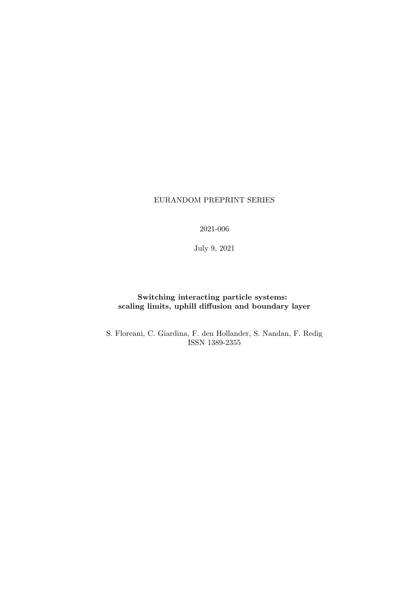# EURANDOM PREPRINT SERIES

2021-006

July 9, 2021

# Switching interacting particle systems: scaling limits, uphill diffusion and boundary layer

S. Floreani, C. Giardina, F. den Hollander, S. Nandan, F. Redig ISSN 1389-2355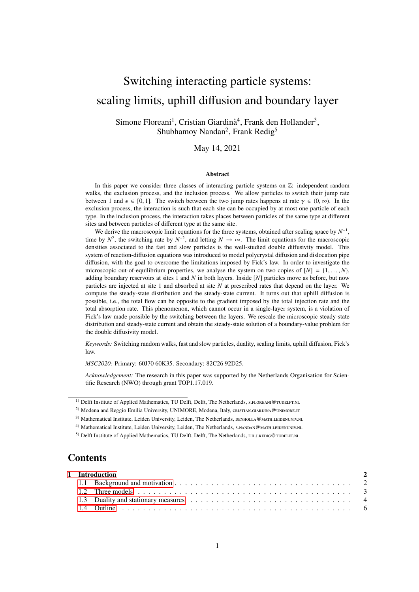# Switching interacting particle systems: scaling limits, uphill diffusion and boundary layer

Simone Floreani<sup>1</sup>, Cristian Giardinà<sup>4</sup>, Frank den Hollander<sup>3</sup>, Shubhamoy Nandan<sup>2</sup>, Frank Redig<sup>5</sup>

May 14, 2021

#### Abstract

In this paper we consider three classes of interacting particle systems on  $\mathbb{Z}$ : independent random walks, the exclusion process, and the inclusion process. We allow particles to switch their jump rate between 1 and  $\epsilon \in [0, 1]$ . The switch between the two jump rates happens at rate  $\gamma \in (0, \infty)$ . In the exclusion process, the interaction is such that each site can be occupied by at most one particle of each type. In the inclusion process, the interaction takes places between particles of the same type at different sites and between particles of different type at the same site.

We derive the macroscopic limit equations for the three systems, obtained after scaling space by  $N^{-1}$ , time by  $N^2$ , the switching rate by  $N^{-2}$ , and letting  $N \to \infty$ . The limit equations for the macroscopic densities associated to the fast and slow particles is the well-studied double diffusivity model. This system of reaction-diffusion equations was introduced to model polycrystal diffusion and dislocation pipe diffusion, with the goal to overcome the limitations imposed by Fick's law. In order to investigate the microscopic out-of-equilibrium properties, we analyse the system on two copies of  $[N] = \{1, \ldots, N\}$ , adding boundary reservoirs at sites 1 and *N* in both layers. Inside [*N*] particles move as before, but now particles are injected at site 1 and absorbed at site *N* at prescribed rates that depend on the layer. We compute the steady-state distribution and the steady-state current. It turns out that uphill diffusion is possible, i.e., the total flow can be opposite to the gradient imposed by the total injection rate and the total absorption rate. This phenomenon, which cannot occur in a single-layer system, is a violation of Fick's law made possible by the switching between the layers. We rescale the microscopic steady-state distribution and steady-state current and obtain the steady-state solution of a boundary-value problem for the double diffusivity model.

*Keywords:* Switching random walks, fast and slow particles, duality, scaling limits, uphill diffusion, Fick's law.

*MSC2020:* Primary: 60J70 60K35. Secondary: 82C26 92D25.

*Acknowledgement:* The research in this paper was supported by the Netherlands Organisation for Scientific Research (NWO) through grant TOP1.17.019.

# **Contents**

|  | 1 Introduction                                                                                                                                                                                                                 |  |
|--|--------------------------------------------------------------------------------------------------------------------------------------------------------------------------------------------------------------------------------|--|
|  |                                                                                                                                                                                                                                |  |
|  |                                                                                                                                                                                                                                |  |
|  | 1.3 Duality and stationary measures experience in the set of the set of the set of the set of the set of the set of the set of the set of the set of the set of the set of the set of the set of the set of the set of the set |  |
|  |                                                                                                                                                                                                                                |  |

<sup>&</sup>lt;sup>1)</sup> Delft Institute of Applied Mathematics, TU Delft, Delft, The Netherlands, s.FLOREANI@TUDELFT.NL

<sup>&</sup>lt;sup>2)</sup> Modena and Reggio Emilia University, UNIMORE, Modena, Italy, CRISTIAN.GIARDINA@UNIMORE.IT

<sup>3)</sup> Mathematical Institute, Leiden University, Leiden, The Netherlands, DENHOLLA@MATH.LEIDENUNIV.NL

<sup>4)</sup> Mathematical Institute, Leiden University, Leiden, The Netherlands, S.NANDAN@MATH.LEIDENUNIV.NL

<sup>5)</sup> Delft Institute of Applied Mathematics, TU Delft, Delft, The Netherlands, F.H.J.REDIG@TUDELFT.NL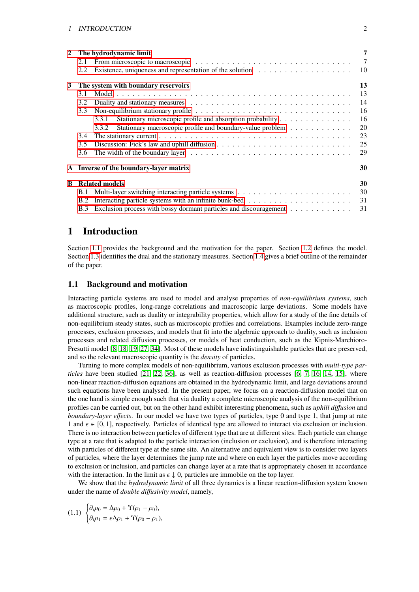| $\mathbf{2}$ | 2.1<br>2.2                                | The hydrodynamic limit<br>Existence, uniqueness and representation of the solution $\dots \dots \dots \dots \dots \dots$ | 7<br>$\overline{7}$<br>10 |  |  |
|--------------|-------------------------------------------|--------------------------------------------------------------------------------------------------------------------------|---------------------------|--|--|
| $3^{\circ}$  | 13<br>The system with boundary reservoirs |                                                                                                                          |                           |  |  |
|              | 3.1                                       |                                                                                                                          | 13                        |  |  |
|              | 3.2                                       |                                                                                                                          | 14                        |  |  |
|              | 3.3                                       | Non-equilibrium stationary profile $\ldots \ldots \ldots \ldots \ldots \ldots \ldots \ldots \ldots \ldots \ldots$        | 16                        |  |  |
|              |                                           | Stationary microscopic profile and absorption probability<br>3.3.1                                                       | 16                        |  |  |
|              |                                           | Stationary macroscopic profile and boundary-value problem<br>3.3.2                                                       | 20                        |  |  |
|              | 3.4                                       |                                                                                                                          | 23                        |  |  |
|              | 3.5                                       |                                                                                                                          | 25                        |  |  |
|              | 3.6                                       |                                                                                                                          | 29                        |  |  |
|              |                                           | A Inverse of the boundary-layer matrix                                                                                   | 30                        |  |  |
| B            |                                           | <b>Related models</b>                                                                                                    | 30                        |  |  |
|              | <b>B.1</b>                                |                                                                                                                          | 30                        |  |  |
|              | B.2                                       |                                                                                                                          | 31                        |  |  |
|              | <b>B.3</b>                                | Exclusion process with bossy dormant particles and discouragement                                                        | 31                        |  |  |
|              |                                           |                                                                                                                          |                           |  |  |

# <span id="page-2-0"></span>1 Introduction

Section [1.1](#page-2-1) provides the background and the motivation for the paper. Section [1.2](#page-3-0) defines the model. Section [1.3](#page-4-0) identifies the dual and the stationary measures. Section [1.4](#page-6-0) gives a brief outline of the remainder of the paper.

### <span id="page-2-1"></span>1.1 Background and motivation

Interacting particle systems are used to model and analyse properties of *non-equilibrium systems*, such as macroscopic profiles, long-range correlations and macroscopic large deviations. Some models have additional structure, such as duality or integrability properties, which allow for a study of the fine details of non-equilibrium steady states, such as microscopic profiles and correlations. Examples include zero-range processes, exclusion processes, and models that fit into the algebraic approach to duality, such as inclusion processes and related diffusion processes, or models of heat conduction, such as the Kipnis-Marchioro-Presutti model [\[8,](#page-32-0) [18,](#page-33-0) [19,](#page-33-1) [27,](#page-33-2) [34\]](#page-33-3). Most of these models have indistinguishable particles that are preserved, and so the relevant macroscopic quantity is the *density* of particles.

Turning to more complex models of non-equilibrium, various exclusion processes with *multi-type particles* have been studied [\[21,](#page-33-4) [22,](#page-33-5) [36\]](#page-33-6), as well as reaction-diffusion processes [\[6,](#page-32-1) [7,](#page-32-2) [16,](#page-33-7) [14,](#page-32-3) [15\]](#page-32-4), where non-linear reaction-diffusion equations are obtained in the hydrodynamic limit, and large deviations around such equations have been analysed. In the present paper, we focus on a reaction-diffusion model that on the one hand is simple enough such that via duality a complete microscopic analysis of the non-equilibrium profiles can be carried out, but on the other hand exhibit interesting phenomena, such as *uphill di*ff*usion* and *boundary-layer e*ff*ects*. In our model we have two types of particles, type 0 and type 1, that jump at rate 1 and  $\epsilon \in [0, 1]$ , respectively. Particles of identical type are allowed to interact via exclusion or inclusion. There is no interaction between particles of different type that are at different sites. Each particle can change type at a rate that is adapted to the particle interaction (inclusion or exclusion), and is therefore interacting with particles of different type at the same site. An alternative and equivalent view is to consider two layers of particles, where the layer determines the jump rate and where on each layer the particles move according to exclusion or inclusion, and particles can change layer at a rate that is appropriately chosen in accordance with the interaction. In the limit as  $\epsilon \downarrow 0$ , particles are immobile on the top layer.

We show that the *hydrodynamic limit* of all three dynamics is a linear reaction-diffusion system known under the name of *double di*ff*usivity model*, namely,

$$
(1.1) \begin{cases} \partial_t \rho_0 = \Delta \rho_0 + \Upsilon (\rho_1 - \rho_0), \\ \partial_t \rho_1 = \epsilon \Delta \rho_1 + \Upsilon (\rho_0 - \rho_1), \end{cases}
$$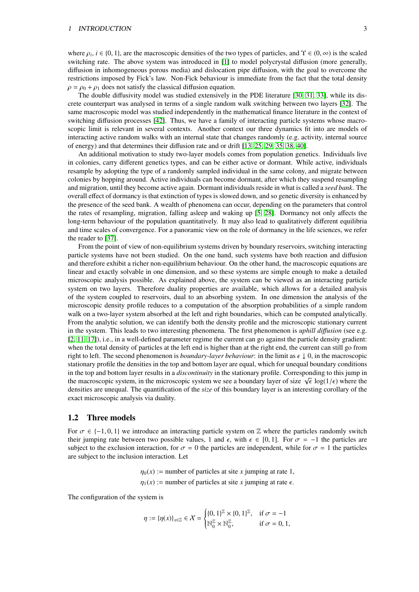where  $\rho_i$ ,  $i \in \{0, 1\}$ , are the macroscopic densities of the two types of particles, and  $\Upsilon \in (0, \infty)$  is the scaled<br>switching rate. The above system was introduced in [1] to model polycrystal diffusion (more general switching rate. The above system was introduced in [\[1\]](#page-32-5) to model polycrystal diffusion (more generally, diffusion in inhomogeneous porous media) and dislocation pipe diffusion, with the goal to overcome the restrictions imposed by Fick's law. Non-Fick behaviour is immediate from the fact that the total density  $\rho = \rho_0 + \rho_1$  does not satisfy the classical diffusion equation.

The double diffusivity model was studied extensively in the PDE literature [\[30,](#page-33-8) [31,](#page-33-9) [33\]](#page-33-10), while its discrete counterpart was analysed in terms of a single random walk switching between two layers [\[32\]](#page-33-11). The same macroscopic model was studied independently in the mathematical finance literature in the context of switching diffusion processes [\[42\]](#page-34-0). Thus, we have a family of interacting particle systems whose macroscopic limit is relevant in several contexts. Another context our three dynamics fit into are models of interacting active random walks with an internal state that changes randomly (e.g. activity, internal source of energy) and that determines their diffusion rate and or drift [\[13,](#page-32-6) [25,](#page-33-12) [29,](#page-33-13) [35,](#page-33-14) [38,](#page-34-1) [40\]](#page-34-2).

An additional motivation to study two-layer models comes from population genetics. Individuals live in colonies, carry different genetics types, and can be either active or dormant. While active, individuals resample by adopting the type of a randomly sampled individual in the same colony, and migrate between colonies by hopping around. Active individuals can become dormant, after which they suspend resampling and migration, until they become active again. Dormant individuals reside in what is called a *seed bank*. The overall effect of dormancy is that extinction of types is slowed down, and so genetic diversity is enhanced by the presence of the seed bank. A wealth of phenomena can occur, depending on the parameters that control the rates of resampling, migration, falling asleep and waking up [\[5,](#page-32-7) [28\]](#page-33-15). Dormancy not only affects the long-term behaviour of the population quantitatively. It may also lead to qualitatively different equilibria and time scales of convergence. For a panoramic view on the role of dormancy in the life sciences, we refer the reader to [\[37\]](#page-34-3).

From the point of view of non-equilibrium systems driven by boundary reservoirs, switching interacting particle systems have not been studied. On the one hand, such systems have both reaction and diffusion and therefore exhibit a richer non-equilibrium behaviour. On the other hand, the macroscopic equations are linear and exactly solvable in one dimension, and so these systems are simple enough to make a detailed microscopic analysis possible. As explained above, the system can be viewed as an interacting particle system on two layers. Therefore duality properties are available, which allows for a detailed analysis of the system coupled to reservoirs, dual to an absorbing system. In one dimension the analysis of the microscopic density profile reduces to a computation of the absorption probabilities of a simple random walk on a two-layer system absorbed at the left and right boundaries, which can be computed analytically. From the analytic solution, we can identify both the density profile and the microscopic stationary current in the system. This leads to two interesting phenomena. The first phenomenon is *uphill di*ff*usion* (see e.g. [\[2,](#page-32-8) [11,](#page-32-9) [17\]](#page-33-16)), i.e., in a well-defined parameter regime the current can go against the particle density gradient: when the total density of particles at the left end is higher than at the right end, the current can still go from right to left. The second phenomenon is *boundary-layer behaviour*: in the limit as  $\epsilon \downarrow 0$ , in the macroscopic stationary profile the densities in the top and bottom layer are equal, which for unequal boundary conditions in the top and bottom layer results in a *discontinuity* in the stationary profile. Corresponding to this jump in the macroscopic system, in the microscopic system we see a boundary layer of size  $\sqrt{\epsilon} \log(1/\epsilon)$  where the densities are unequal. The quantification of the size of this boundary layer is an interesting corollary of the densities are unequal. The quantification of the *size* of this boundary layer is an interesting corollary of the exact microscopic analysis via duality.

#### <span id="page-3-0"></span>1.2 Three models

For  $\sigma \in \{-1, 0, 1\}$  we introduce an interacting particle system on Z where the particles randomly switch their jumping rate between two possible values, 1 and  $\epsilon$ , with  $\epsilon \in [0, 1]$ . For  $\sigma = -1$  the particles are subject to the exclusion interaction, for  $\sigma = 0$  the particles are independent, while for  $\sigma = 1$  the particles are subject to the inclusion interaction. Let

> $\eta_0(x)$  := number of particles at site *x* jumping at rate 1,  $\eta_1(x)$  := number of particles at site *x* jumping at rate  $\epsilon$ .

The configuration of the system is

$$
\eta := {\{\eta(x)\}}_{x \in \mathbb{Z}} \in \mathcal{X} = \begin{cases} {0,1\}^{\mathbb{Z}} \times {0,1\}^{\mathbb{Z}}, & \text{if } \sigma = -1 \\ \mathbb{N}_0^{\mathbb{Z}} \times \mathbb{N}_0^{\mathbb{Z}}, & \text{if } \sigma = 0,1, \end{cases}
$$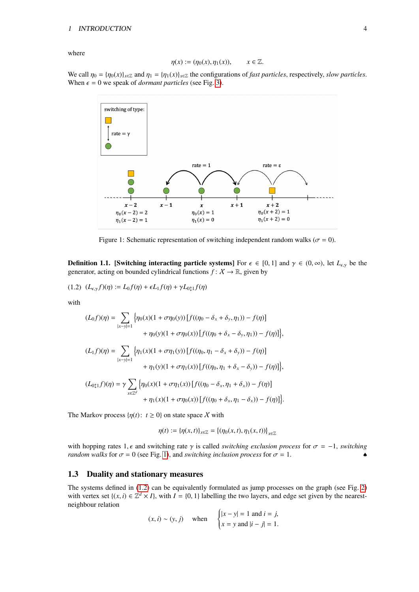where

$$
\eta(x) := (\eta_0(x), \eta_1(x)), \qquad x \in \mathbb{Z}.
$$

<span id="page-4-1"></span>We call  $\eta_0 = {\eta_0(x)}_{x \in \mathbb{Z}}$  and  $\eta_1 = {\eta_1(x)}_{x \in \mathbb{Z}}$  the configurations of *fast particles*, respectively, *slow particles*. When  $\epsilon = 0$  we speak of *dormant particles* (see Fig. [3\)](#page-6-1).



<span id="page-4-2"></span>Figure 1: Schematic representation of switching independent random walks ( $\sigma = 0$ ).

<span id="page-4-3"></span>**Definition 1.1.** [Switching interacting particle systems] For  $\epsilon \in [0, 1]$  and  $\gamma \in (0, \infty)$ , let  $L_{\epsilon,\gamma}$  be the generator, acting on bounded cylindrical functions  $f: X \to \mathbb{R}$ , given by

$$
(1.2) \ \ (L_{\epsilon,\gamma}f)(\eta) := L_0f(\eta) + \epsilon L_1f(\eta) + \gamma L_{0\uparrow 1}f(\eta)
$$

with

$$
(L_0 f)(\eta) = \sum_{|x-y|=1} \left\{ \eta_0(x)(1 + \sigma \eta_0(y)) \left[ f((\eta_0 - \delta_x + \delta_y, \eta_1)) - f(\eta) \right] \right. \\ \left. + \eta_0(y)(1 + \sigma \eta_0(x)) \left[ f((\eta_0 + \delta_x - \delta_y, \eta_1)) - f(\eta) \right] \right\}, \\ (L_1 f)(\eta) = \sum_{|x-y|=1} \left\{ \eta_1(x)(1 + \sigma \eta_1(y)) \left[ f((\eta_0, \eta_1 - \delta_x + \delta_y)) - f(\eta) \right] \right. \\ \left. + \eta_1(y)(1 + \sigma \eta_1(x)) \left[ f((\eta_0, \eta_1 + \delta_x - \delta_y)) - f(\eta) \right] \right\}, \\ (L_{0\updownarrow 1} f)(\eta) = \gamma \sum_{x \in \mathbb{Z}^d} \left\{ \eta_0(x)(1 + \sigma \eta_1(x)) \left[ f((\eta_0 - \delta_x, \eta_1 + \delta_x)) - f(\eta) \right] \right. \\ \left. + \eta_1(x)(1 + \sigma \eta_0(x)) \left[ f((\eta_0 + \delta_x, \eta_1 - \delta_x)) - f(\eta) \right] \right\}.
$$

The Markov process  $\{\eta(t): t \geq 0\}$  on state space X with

$$
\eta(t) := {\{\eta(x,t)\}}_{x \in \mathbb{Z}} = {\{\eta_0(x,t),\eta_1(x,t)\}}_{x \in \mathbb{Z}}
$$

with hopping rates 1,  $\epsilon$  and switching rate  $\gamma$  is called *switching exclusion process* for  $\sigma = -1$ , *switching random walks* for  $\sigma = 0$  (see Fig. [1\)](#page-4-1), and *switching inclusion process* for  $\sigma = 1$ .

### <span id="page-4-0"></span>1.3 Duality and stationary measures

The systems defined in [\(1.2\)](#page-4-2) can be equivalently formulated as jump processes on the graph (see Fig. [2\)](#page-5-0) with vertex set  $\{(x, i) \in \mathbb{Z}^d \times I\}$ , with  $I = \{0, 1\}$  labelling the two layers, and edge set given by the nearestneighbour relation  $\overline{1}$ 

$$
(x, i) \sim (y, j)
$$
 when 
$$
\begin{cases} |x - y| = 1 \text{ and } i = j, \\ x = y \text{ and } |i - j| = 1. \end{cases}
$$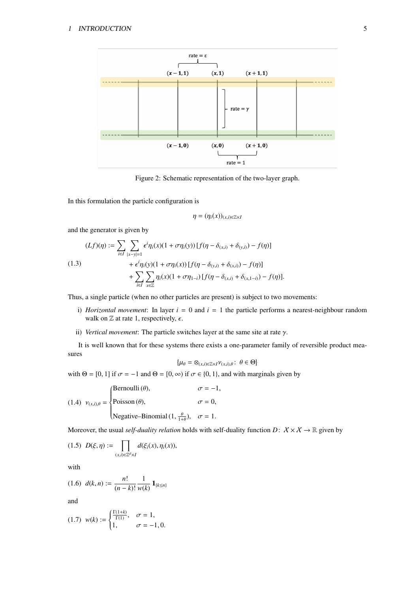<span id="page-5-0"></span>

Figure 2: Schematic representation of the two-layer graph.

In this formulation the particle configuration is

<span id="page-5-1"></span>
$$
\eta=(\eta_i(x))_{(x,i)\in\mathbb{Z}\times I}
$$

and the generator is given by

(1.3)  
\n
$$
(Lf)(\eta) := \sum_{i \in I} \sum_{|x-y|=1} \epsilon^i \eta_i(x) (1 + \sigma \eta_i(y)) [f(\eta - \delta_{(x,i)} + \delta_{(y,i)}) - f(\eta)] + \epsilon^i \eta_i(y) (1 + \sigma \eta_i(x)) [f(\eta - \delta_{(y,i)} + \delta_{(x,i)}) - f(\eta)] + \sum_{i \in I} \sum_{x \in \mathbb{Z}} \eta_i(x) (1 + \sigma \eta_{1-i}) [f(\eta - \delta_{(x,i)} + \delta_{(x,1-i)}) - f(\eta)].
$$

Thus, a single particle (when no other particles are present) is subject to two movements:

- i) *Horizontal movement*: In layer *i* = 0 and *i* = 1 the particle performs a nearest-neighbour random walk on  $\mathbb Z$  at rate 1, respectively,  $\epsilon$ .
- ii) *Vertical movement*: The particle switches layer at the same site at rate γ.

It is well known that for these systems there exists a one-parameter family of reversible product measures

<span id="page-5-2"></span>
$$
\{\mu_{\theta} = \otimes_{(x,i)\in\mathbb{Z}\times I} \nu_{(x,i),\theta} : \ \theta \in \Theta\}
$$

with  $\Theta = [0, 1]$  if  $\sigma = -1$  and  $\Theta = [0, \infty)$  if  $\sigma \in \{0, 1\}$ , and with marginals given by

<span id="page-5-4"></span>(1.4) 
$$
v_{(x,i),\theta} = \begin{cases} \text{Bernoulli}(\theta), & \sigma = -1, \\ \text{Poisson}(\theta), & \sigma = 0, \\ \text{Negative-Binomial}(1, \frac{\theta}{1+\theta}), & \sigma = 1. \end{cases}
$$

Moreover, the usual *self-duality relation* holds with self-duality function  $D: X \times X \to \mathbb{R}$  given by

$$
(1.5)\;\;D(\xi,\eta):=\prod_{(x,i)\in\mathbb{Z}^d\times I}d(\xi_i(x),\eta_i(x)),
$$

<span id="page-5-3"></span>with

$$
(1.6) d(k,n) := \frac{n!}{(n-k)!} \frac{1}{w(k)} \mathbf{1}_{\{k \le n\}}
$$

and

$$
(1.7) \ \ w(k) := \begin{cases} \frac{\Gamma(1+k)}{\Gamma(1)}, & \sigma = 1, \\ 1, & \sigma = -1, 0. \end{cases}
$$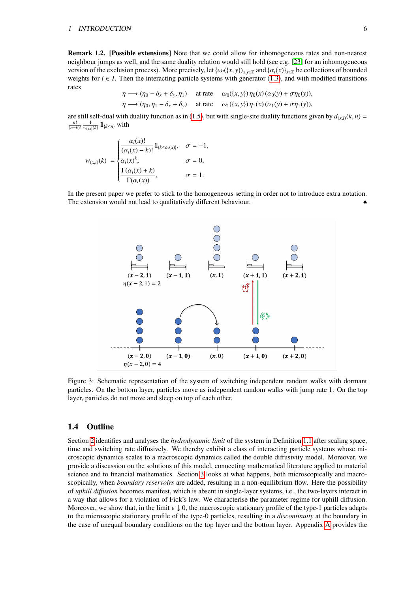Remark 1.2. [Possible extensions] Note that we could allow for inhomogeneous rates and non-nearest neighbour jumps as well, and the same duality relation would still hold (see e.g. [\[23\]](#page-33-17) for an inhomogeneous version of the exclusion process). More precisely, let  $\{\omega_i({x, y})\}_{x \in \mathbb{Z}}$  and  $\{\alpha_i(x)\}_{x \in \mathbb{Z}}$  be collections of bounded weights for  $i \in I$ . Then the interacting particle systems with generator [\(1.3\)](#page-5-1), and with modified transitions rates

$$
\eta \longrightarrow (\eta_0 - \delta_x + \delta_y, \eta_1) \quad \text{at rate} \quad \omega_0(\{x, y\}) \eta_0(x) (\alpha_0(y) + \sigma \eta_0(y)),
$$
  

$$
\eta \longrightarrow (\eta_0, \eta_1 - \delta_x + \delta_y) \quad \text{at rate} \quad \omega_1(\{x, y\}) \eta_1(x) (\alpha_1(y) + \sigma \eta_1(y)),
$$

are still self-dual with duality function as in [\(1.5\)](#page-5-2), but with single-site duality functions given by  $d_{(x,i)}(k, n) =$  $\frac{n!}{(n-k)!}$   $\frac{1}{w_{(x,i)}(k)}$  **1**{*k*≤*n*} with

$$
w_{(x,i)}(k) = \begin{cases} \frac{\alpha_i(x)!}{(\alpha_i(x) - k)!} 1\!\!1_{\{k \le \alpha_i(x)\}}, & \sigma = -1, \\ \alpha_i(x)^k, & \sigma = 0, \\ \frac{\Gamma(\alpha_i(x) + k)}{\Gamma(\alpha_i(x))}, & \sigma = 1. \end{cases}
$$

<span id="page-6-1"></span>In the present paper we prefer to stick to the homogeneous setting in order not to introduce extra notation. The extension would not lead to qualitatively different behaviour.



Figure 3: Schematic representation of the system of switching independent random walks with dormant particles. On the bottom layer, particles move as independent random walks with jump rate 1. On the top layer, particles do not move and sleep on top of each other.

# <span id="page-6-0"></span>1.4 Outline

Section [2](#page-7-0) identifies and analyses the *hydrodynamic limit* of the system in Definition [1.1](#page-4-3) after scaling space, time and switching rate diffusively. We thereby exhibit a class of interacting particle systems whose microscopic dynamics scales to a macroscopic dynamics called the double diffusivity model. Moreover, we provide a discussion on the solutions of this model, connecting mathematical literature applied to material science and to financial mathematics. Section [3](#page-13-0) looks at what happens, both microscopically and macroscopically, when *boundary reservoirs* are added, resulting in a non-equilibrium flow. Here the possibility of *uphill di*ff*usion* becomes manifest, which is absent in single-layer systems, i.e., the two-layers interact in a way that allows for a violation of Fick's law. We characterise the parameter regime for uphill diffusion. Moreover, we show that, in the limit  $\epsilon \downarrow 0$ , the macroscopic stationary profile of the type-1 particles adapts to the microscopic stationary profile of the type-0 particles, resulting in a *discontinuity* at the boundary in the case of unequal boundary conditions on the top layer and the bottom layer. Appendix [A](#page-30-0) provides the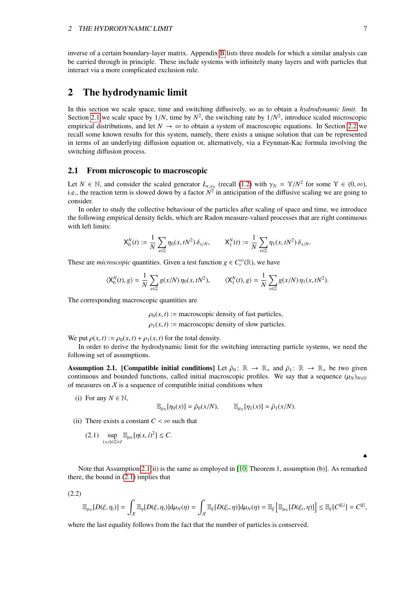inverse of a certain boundary-layer matrix. Appendix [B](#page-30-1) lists three models for which a similar analysis can be carried through in principle. These include systems with infinitely many layers and with particles that interact via a more complicated exclusion rule.

# <span id="page-7-0"></span>2 The hydrodynamic limit

In this section we scale space, time and switching diffusively, so as to obtain a *hydrodynamic limit*. In Section [2.1](#page-7-1) we scale space by  $1/N$ , time by  $N^2$ , the switching rate by  $1/N^2$ , introduce scaled microscopic<br>empirical distributions, and let  $N \to \infty$  to obtain a system of macroscopic equations. In Section 2.2 we empirical distributions, and let  $N \to \infty$  to obtain a system of macroscopic equations. In Section [2.2](#page-10-0) we recall some known results for this system, namely, there exists a unique solution that can be represented in terms of an underlying diffusion equation or, alternatively, via a Feynman-Kac formula involving the switching diffusion process.

#### <span id="page-7-1"></span>2.1 From microscopic to macroscopic

Let  $N \in \mathbb{N}$ , and consider the scaled generator  $L_{\epsilon, \gamma_N}$  (recall [\(1.2\)](#page-4-2) with  $\gamma_N = \Upsilon/N^2$  for some  $\Upsilon \in (0, \infty)$ , i.e., the reaction term is slowed down by a factor  $N^2$  in anticipation of the diffusive scaling we consider.

In order to study the collective behaviour of the particles after scaling of space and time, we introduce the following empirical density fields, which are Radon measure-valued processes that are right continuous with left limits:

$$
\mathsf{X}_0^N(t) := \frac{1}{N} \sum_{x \in \mathbb{Z}} \eta_0(x,tN^2) \, \delta_{x/N}, \qquad \mathsf{X}_1^N(t) := \frac{1}{N} \sum_{x \in \mathbb{Z}} \eta_1(x,tN^2) \, \delta_{x/N}.
$$

These are *microscopic* quantities. Given a test function  $g \in C_c^{\infty}(\mathbb{R})$ , we have

$$
\langle \mathsf{X}_0^N(t), g \rangle = \frac{1}{N} \sum_{x \in \mathbb{Z}} g(x/N) \, \eta_0(x, tN^2), \qquad \langle \mathsf{X}_1^N(t), g \rangle = \frac{1}{N} \sum_{x \in \mathbb{Z}} g(x/N) \, \eta_1(x, tN^2).
$$

The corresponding macroscopic quantities are

 $\rho_0(x, t)$  := macroscopic density of fast particles,

 $\rho_1(x, t)$  := macroscopic density of slow particles.

We put  $\rho(x, t) := \rho_0(x, t) + \rho_1(x, t)$  for the total density.

In order to derive the hydrodynamic limit for the switching interacting particle systems, we need the following set of assumptions.

<span id="page-7-2"></span>**Assumption 2.1.** [Compatible initial conditions] Let  $\bar{\rho}_0$ :  $\mathbb{R} \to \mathbb{R}_+$  and  $\bar{\rho}_1$ :  $\mathbb{R} \to \mathbb{R}_+$  be two given continuous and bounded functions, called initial macroscopic profiles. We say that a sequence  $(\mu_N)_{N\in\mathbb{N}}$ of measures on  $X$  is a sequence of compatible initial conditions when

(i) For any  $N \in \mathbb{N}$ ,

<span id="page-7-3"></span>
$$
\mathbb{E}_{\mu_N}[\eta_0(x)] = \bar{\rho}_0(x/N), \qquad \mathbb{E}_{\mu_N}[\eta_1(x)] = \bar{\rho}_1(x/N).
$$

(ii) There exists a constant  $C < \infty$  such that

(2.1) 
$$
\sup_{(x,i)\in\mathbb{Z}\times I} \mathbb{E}_{\mu_N}[\eta(x,i)^2] \leq C.
$$

Note that Assumption [2.1\(](#page-7-2)ii) is the same as employed in [\[10,](#page-32-10) Theorem 1, assumption (b)]. As remarked there, the bound in [\(2.1\)](#page-7-3) implies that

(2.2)

$$
\mathbb{E}_{\mu_N}[D(\xi,\eta_t)] = \int_{\mathcal{X}} \mathbb{E}_\eta[D(\xi,\eta_t)] \text{d}\mu_N(\eta) = \int_{\mathcal{X}} \mathbb{E}_\xi[D(\xi_t,\eta)] \text{d}\mu_N(\eta) = \mathbb{E}_\xi\left[\mathbb{E}_{\mu_N}[D(\xi_t,\eta)]\right] \leq \mathbb{E}_\xi[C^{|\xi_t|}] = C^{|\xi|},
$$

where the last equality follows from the fact that the number of particles is conserved.

♠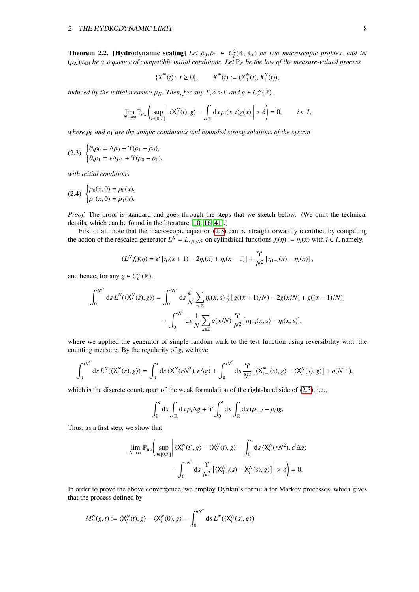<span id="page-8-1"></span>**Theorem 2.2. [Hydrodynamic scaling]** Let  $\bar{\rho}_0, \bar{\rho}_1 \in C_b^2(\mathbb{R}; \mathbb{R}_+)$  *be two macroscopic profiles, and let*<br>(((v)) *sx he a sequence of compatible initial conditions Let*  $\mathbb{R}_1$ , *be the law of the magsure-va*  $(\mu_N)_{N\in\mathbb{N}}$  *be a sequence of compatible initial conditions. Let*  $\mathbb{P}_N$  *be the law of the measure-valued process* 

<span id="page-8-0"></span>
$$
\{X^N(t): t \ge 0\}, \qquad X^N(t) := (X_0^N(t), X_1^N(t)),
$$

*induced by the initial measure*  $\mu_N$ *. Then, for any*  $T, \delta > 0$  *and*  $g \in C_c^{\infty}(\mathbb{R})$ *,* 

$$
\lim_{N\to\infty}\mathbb{P}_{\mu_N}\left(\sup_{t\in[0,T]}\left|\langle X_i^N(t),g\rangle-\int_{\mathbb{R}}\mathrm{d} x\rho_i(x,t)g(x)\right|>\delta\right)=0,\qquad i\in I,
$$

*where*  $\rho_0$  *and*  $\rho_1$  *are the unique continuous and bounded strong solutions of the system* 

(2.3) 
$$
\begin{cases} \partial_t \rho_0 = \Delta \rho_0 + \Upsilon (\rho_1 - \rho_0), \\ \partial_t \rho_1 = \epsilon \Delta \rho_1 + \Upsilon (\rho_0 - \rho_1), \end{cases}
$$

*with initial conditions*

(2.4) 
$$
\begin{cases} \rho_0(x,0) = \bar{\rho}_0(x), \\ \rho_1(x,0) = \bar{\rho}_1(x). \end{cases}
$$

*Proof.* The proof is standard and goes through the steps that we sketch below. (We omit the technical details, which can be found in the literature [\[10,](#page-32-10) [16,](#page-33-7) [41\]](#page-34-4).)

First of all, note that the macroscopic equation [\(2.3\)](#page-8-0) can be straightforwardly identified by computing the action of the rescaled generator  $L^N = L_{\epsilon, \Upsilon/N^2}$  on cylindrical functions  $f_i(\eta) := \eta_i(x)$  with  $i \in I$ , namely,

$$
(L^N f_i)(\eta) = \epsilon^i [\eta_i(x+1) - 2\eta_i(x) + \eta_i(x-1)] + \frac{\Upsilon}{N^2} [\eta_{1-i}(x) - \eta_i(x)],
$$

and hence, for any  $g \in C_c^{\infty}(\mathbb{R})$ ,

$$
\int_0^{tN^2} ds L^N(\langle X_i^N(s), g \rangle) = \int_0^{tN^2} ds \frac{\epsilon^i}{N} \sum_{x \in \mathbb{Z}} \eta_i(x, s) \frac{1}{2} [g((x+1)/N) - 2g(x/N) + g((x-1)/N)] + \int_0^{tN^2} ds \frac{1}{N} \sum_{x \in \mathbb{Z}} g(x/N) \frac{\gamma}{N^2} [\eta_{1-i}(x, s) - \eta_i(x, s)],
$$

where we applied the generator of simple random walk to the test function using reversibility w.r.t. the counting measure. By the regularity of *g*, we have

$$
\int_0^{tN^2} \mathrm{d} s \, L^N(\langle \mathbf{X}_i^N(s), g \rangle) = \int_0^t \mathrm{d} s \, \langle \mathbf{X}_i^N(rN^2), \epsilon \Delta g \rangle + \int_0^{tN^2} \mathrm{d} s \, \frac{\Upsilon}{N^2} \left[ \langle \mathbf{X}_{1-i}^N(s), g \rangle - \langle \mathbf{X}_i^N(s), g \rangle \right] + o(N^{-2}),
$$

which is the discrete counterpart of the weak formulation of the right-hand side of  $(2.3)$ , i.e.,

$$
\int_0^t ds \int_{\mathbb{R}} dx \rho_i \Delta g + \Upsilon \int_0^t ds \int_{\mathbb{R}} dx (\rho_{1-i} - \rho_i) g.
$$

Thus, as a first step, we show that

$$
\lim_{N \to \infty} \mathbb{P}_{\mu_N} \bigg( \sup_{t \in [0,T]} \bigg| \langle X_i^N(t), g \rangle - \langle X_i^N(t), g \rangle - \int_0^t \mathrm{d}s \, \langle X_i^N(rN^2), \epsilon^i \Delta g \rangle - \int_0^{tN^2} \mathrm{d}s \, \frac{\Upsilon}{N^2} \left[ \langle X_{1-i}^N(s) - X_i^N(s), g \rangle \right] \bigg| > \delta \bigg) = 0.
$$

In order to prove the above convergence, we employ Dynkin's formula for Markov processes, which gives that the process defined by

$$
M_i^N(g,t) := \langle \mathsf{X}_i^N(t),g\rangle - \langle \mathsf{X}_i^N(0),g\rangle - \int_0^{tN^2}\mathrm{d} s\, L^N(\langle \mathsf{X}_i^N(s),g\rangle)
$$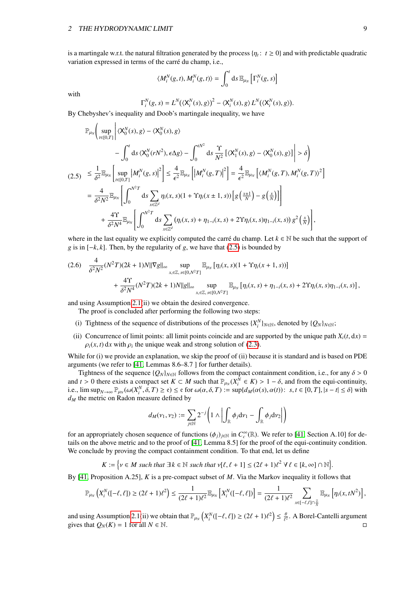is a martingale w.r.t. the natural filtration generated by the process  $\{\eta_t: t \ge 0\}$  and with predictable quadratic variation expressed in terms of the carré du champ, i.e. variation expressed in terms of the carre du champ, i.e., ´

<span id="page-9-0"></span>
$$
\langle M_i^N(g,t), M_i^N(g,t) \rangle = \int_0^t \mathrm{d} s \, \mathbb{E}_{\mu_N} \left[ \Gamma_i^N(g,s) \right]
$$

with

 $\lambda$ 

$$
\Gamma_i^N(g, s) = L^N(\langle \mathsf{X}_i^N(s), g \rangle)^2 - \langle \mathsf{X}_i^N(s), g \rangle L^N(\langle \mathsf{X}_i^N(s), g \rangle)
$$

By Chebyshev's inequality and Doob's martingale inequality, we have

$$
\mathbb{P}_{\mu_N}\Bigg(\sup_{t\in[0,T]}\Bigg|\langle X_0^N(s),g\rangle-\langle X_0^N(s),g\rangle
$$
\n
$$
-\int_0^t ds\langle X_0^N(rN^2),\epsilon\Delta g\rangle-\int_0^{tN^2} ds\frac{\Upsilon}{N^2}\big[\langle X_1^N(s),g\rangle-\langle X_0^N(s),g\rangle\big]\Bigg|>\delta\Bigg)
$$
\n(2.5) 
$$
\leq \frac{1}{\delta^2}\mathbb{E}_{\mu_N}\Bigg[\sup_{t\in[0,T]}|M_i^N(g,s)|^2\Bigg] \leq \frac{4}{\epsilon^2}\mathbb{E}_{\mu_N}\Big[\big|M_i^N(g,T)\big|^2\Big]=\frac{4}{\epsilon^2}\mathbb{E}_{\mu_N}\Big[\langle M_i^N(g,T),M_i^N(g,T)\rangle^2\Big]
$$
\n
$$
=\frac{4}{\delta^2N^2}\mathbb{E}_{\mu_N}\Bigg[\int_0^{N^2T} ds\sum_{x\in\mathbb{Z}^d}\eta_i(x,s)(1+\Upsilon\eta_i(x\pm 1,s))\Big[g\left(\frac{x\pm 1}{N}\right)-g\left(\frac{x}{N}\right)\Big]\Bigg]
$$
\n
$$
+\frac{4\Upsilon}{\delta^2N^4}\mathbb{E}_{\mu_N}\Bigg[\int_0^{N^2T} ds\sum_{x\in\mathbb{Z}^d}\left(\eta_i(x,s)+\eta_{1-i}(x,s)+2\Upsilon\eta_i(x,s)\eta_{1-i}(x,s)\right)g^2\left(\frac{x}{N}\right)\Bigg],
$$

where in the last equality we explicitly computed the carré du champ. Let  $k \in \mathbb{N}$  be such that the support of *g* is in [−*k*, *k*]. Then, by the regularity of *g*, we have that [\(2.5\)](#page-9-0) is bounded by

$$
(2.6) \quad \frac{4}{\delta^2 N^2} (N^2 T)(2k+1)N \|\nabla g\|_{\infty} \sup_{x,\in\mathbb{Z},\,s\in[0,N^2T]} \mathbb{E}_{\mu_N} \left[ \eta_i(x,s)(1+\Upsilon \eta_i(x+1,s)) \right] + \frac{4\Upsilon}{\delta^2 N^4} (N^2 T)(2k+1)N \|g\|_{\infty} \sup_{x,\in\mathbb{Z},\,s\in[0,N^2T]} \mathbb{E}_{\mu_N} \left[ \eta_i(x,s) + \eta_{1-i}(x,s) + 2\Upsilon \eta_i(x,s) \eta_{1-i}(x,s) \right],
$$

and using Assumption [2.1\(](#page-7-2)ii) we obtain the desired convergence.

The proof is concluded after performing the following two steps:

- (i) Tightness of the sequence of distributions of the processes  $\{X_i^N\}_{N \in \mathbb{N}}$ , denoted by  $\{Q_N\}_{N \in \mathbb{N}}$ ;
- (ii) Concurrence of limit points: all limit points coincide and are supported by the unique path  $X_i(t, dx)$  $\rho_i(x, t)$  d*x* with  $\rho_i$  the unique weak and strong solution of [\(2.3\)](#page-8-0).

While for (i) we provide an explanation, we skip the proof of (ii) because it is standard and is based on PDE arguments (we refer to [\[41,](#page-34-4) Lemmas 8.6–8.7 ] for further details).

Tightness of the sequence  $\{Q_N\}_{N\in\mathbb{N}}$  follows from the compact containment condition, i.e., for any  $\delta > 0$ and  $t > 0$  there exists a compact set  $K \subset M$  such that  $\mathbb{P}_{\mu_N}(X^{\overline{N}} \in K) > 1 - \delta$ , and from the equi-continuity,<br>i.e.  $\limsup_{x \to \infty} \mathbb{P}_{\mu_N}(X^{\overline{N}} \in \mathbb{R}) > \epsilon$  of  $\mathbb{P}_{\mu_N}(X^{\overline{N}} \in K) > -\sup_{\alpha \in \mathbb{R}} d_{\alpha'}(\alpha(\epsilon), \alpha(t))$ i.e.,  $\limsup_{N\to\infty} \mathbb{P}_{\mu_N}(\omega(X_i^N, \delta, T) \ge \epsilon) \le \epsilon$  for  $\omega(\alpha, \delta, T) := \sup\{d_M(\alpha(s), \alpha(t)) : s, t \in [0, T], |s - t| \le \delta\}$  with d<sub>reptition</sub> Radon measure defined by *d<sup>M</sup>* the metric on Radon measure defined by

$$
d_M(v_1,v_2):=\sum_{j\in\mathbb{N}}2^{-j}\left(1\wedge\left|\int_\mathbb{R}\phi_j\mathrm{d} v_1-\int_\mathbb{R}\phi_j\mathrm{d} v_2\right|\right)
$$

for an appropriately chosen sequence of functions  $(\phi_j)_{j \in \mathbb{N}}$  in  $C_c^{\infty}(\mathbb{R})$ . We refer to [\[41,](#page-34-4) Section A.10] for details on the above metric and to the proof of [41, I emma 8.5] for the proof of the equi-continui tails on the above metric and to the proof of [\[41,](#page-34-4) Lemma 8.5] for the proof of the equi-continuity condition. We conclude by proving the compact containment condition. To that end, let us define

$$
K := \Big\{ v \in M \text{ such that } \exists k \in \mathbb{N} \text{ such that } v[\ell, \ell + 1] \leq (2\ell + 1)\ell^2 \ \forall \ \ell \in [k, \infty] \cap \mathbb{N} \Big\}.
$$

By [\[41,](#page-34-4) Proposition A.25], *K* is a pre-compact subset of *M*. Via the Markov inequality it follows that

$$
\mathbb{P}_{\mu_N}\left(X_i^N([-{\ell},{\ell}]) \geq (2{\ell}+1) {\ell}^2\right) \leq \frac{1}{(2{\ell}+1) {\ell}^2} \mathbb{E}_{\mu_N}\left[X_i^N([-{\ell},{\ell}])\right] = \frac{1}{(2{\ell}+1) {\ell}^2} \sum_{x \in [-{\ell},{\ell}] \cap \frac{Z}{N}} \mathbb{E}_{\mu_N}\left[\eta_i(x, tN^2)\right],
$$

and using Assumption [2.1\(](#page-7-2)ii) we obtain that  $\mathbb{P}_{\mu_N}\left(X_i^N([-l, l]) \geq (2l + 1)l^2\right) \leq \frac{\theta}{l^2}$ . A Borel-Cantelli argument gives that  $O_N(K) = 1$  for all  $N \in \mathbb{N}$ gives that  $Q_N(K) = 1$  for all  $N \in \mathbb{N}$ .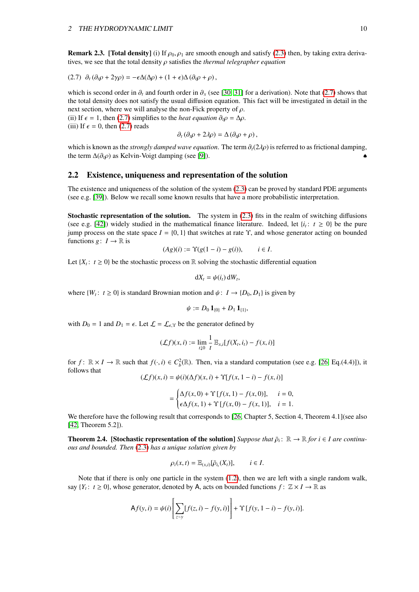**Remark 2.3.** [Total density] (i) If  $\rho_0$ ,  $\rho_1$  are smooth enough and satisfy [\(2.3\)](#page-8-0) then, by taking extra derivatives, we see that the total density ρ satisfies the *thermal telegrapher equation*

$$
(2.7) \ \partial_t(\partial_t \rho + 2\gamma \rho) = -\epsilon \Delta(\Delta \rho) + (1 + \epsilon) \Delta(\partial_t \rho + \rho),
$$

which is second order in  $\partial_t$  and fourth order in  $\partial_x$  (see [\[30,](#page-33-8) [31\]](#page-33-9) for a derivation). Note that [\(2.7\)](#page-10-1) shows that the total density does not satisfy the usual diffusion equation. This fact will be investigated in detail in the next section, where we will analyse the non-Fick property of  $\rho$ .

(ii) If  $\epsilon = 1$ , then [\(2.7\)](#page-10-1) simplifies to the *heat equation*  $\partial_t \rho = \Delta \rho$ .

(iii) If  $\epsilon = 0$ , then [\(2.7\)](#page-10-1) reads

<span id="page-10-1"></span> $\partial_t (\partial_t \rho + 2\lambda \rho) = \Delta (\partial_t \rho + \rho)$ ,

which is known as the *strongly damped wave equation*. The term ∂*t*(2λρ) is referred to as frictional damping, the term  $\Delta(\partial_t \rho)$  as Kelvin-Voigt damping (see [\[9\]](#page-32-11)).

#### <span id="page-10-0"></span>2.2 Existence, uniqueness and representation of the solution

The existence and uniqueness of the solution of the system [\(2.3\)](#page-8-0) can be proved by standard PDE arguments (see e.g. [\[39\]](#page-34-5)). Below we recall some known results that have a more probabilistic interpretation.

Stochastic representation of the solution. The system in [\(2.3\)](#page-8-0) fits in the realm of switching diffusions (see e.g. [\[42\]](#page-34-0)) widely studied in the mathematical finance literature. Indeed, let  $\{i_t: t \geq 0\}$  be the pure jump process on the state space  $I = \{0, 1\}$  that switches at rate  $\Upsilon$ , and whose generator acting on bounded functions *g*:  $I \rightarrow \mathbb{R}$  is

$$
(Ag)(i) := \Upsilon(g(1-i) - g(i)), \qquad i \in I.
$$

Let  $\{X_t: t \geq 0\}$  be the stochastic process on R solving the stochastic differential equation

$$
dX_t = \psi(i_t) dW_t,
$$

where  $\{W_t: t \ge 0\}$  is standard Brownian motion and  $\psi: I \to \{D_0, D_1\}$  is given by

$$
\psi := D_0 \mathbf{1}_{\{0\}} + D_1 \mathbf{1}_{\{1\}},
$$

with  $D_0 = 1$  and  $D_1 = \epsilon$ . Let  $\mathcal{L} = \mathcal{L}_{\epsilon, \Upsilon}$  be the generator defined by

$$
(\mathcal{L}f)(x,i) := \lim_{t \downarrow 0} \frac{1}{t} \mathbb{E}_{x,i} [f(X_t, i_t) - f(x,i)]
$$

for  $f: \mathbb{R} \times I \to \mathbb{R}$  such that  $f(\cdot, i) \in C_b^2(\mathbb{R})$ . Then, via a standard computation (see e.g. [\[26,](#page-33-18) Eq.(4.4)]), it follows that follows that

$$
(\mathcal{L}f)(x,i) = \psi(i)(\Delta f)(x,i) + \Upsilon[f(x, 1-i) - f(x,i)]
$$

$$
= \begin{cases} \Delta f(x,0) + \Upsilon [f(x,1) - f(x,0)], & i = 0, \\ \epsilon \Delta f(x,1) + \Upsilon [f(x,0) - f(x,1)], & i = 1. \end{cases}
$$

We therefore have the following result that corresponds to [\[26,](#page-33-18) Chapter 5, Section 4, Theorem 4.1](see also [\[42,](#page-34-0) Theorem 5.2]).

**Theorem 2.4.** [Stochastic representation of the solution] *Suppose that*  $\bar{\rho}_i$ :  $\mathbb{R} \to \mathbb{R}$  *for i* ∈ *I are continu-*<br>*ous and bounded. Then* (2.3) has a unique solution given by *ous and bounded. Then* [\(2.3\)](#page-8-0) *has a unique solution given by*

$$
\rho_i(x,t) = \mathbb{E}_{(x,i)}[\bar{\rho}_{i_t}(X_t)], \qquad i \in I.
$$

Note that if there is only one particle in the system [\(1.2\)](#page-4-2), then we are left with a single random walk, say  $\{Y_t: t \geq 0\}$ , whose generator, denoted by A, acts on bounded functions  $f: \mathbb{Z} \times I \to \mathbb{R}$  as

$$
\mathsf{A}f(y,i) = \psi(i) \left[ \sum_{z \sim y} [f(z,i) - f(y,i)] \right] + \Upsilon [f(y, 1-i) - f(y,i)].
$$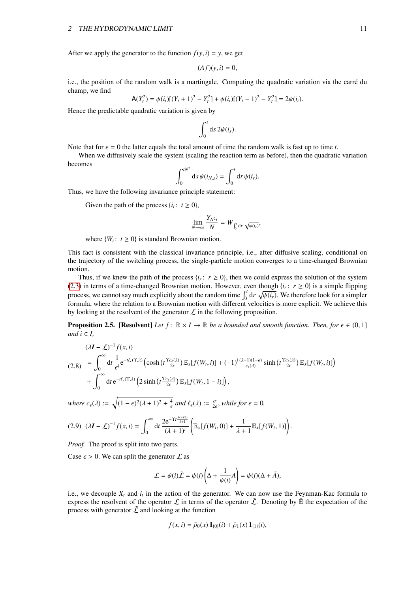After we apply the generator to the function  $f(y, i) = y$ , we get

$$
(Af)(y,i)=0,
$$

i.e., the position of the random walk is a martingale. Computing the quadratic variation via the carré du champ, we find

$$
\mathsf{A}(Y_t^2) = \psi(i_t)[(Y_t + 1)^2 - Y_t^2] + \psi(i_t)[(Y_t - 1)^2 - Y_t^2] = 2\psi(i_t).
$$

Hence the predictable quadratic variation is given by

$$
\int_0^t \mathrm{d} s\, 2\psi(i_s).
$$

Note that for  $\epsilon = 0$  the latter equals the total amount of time the random walk is fast up to time *t*.

When we diffusively scale the system (scaling the reaction term as before), then the quadratic variation becomes

$$
\int_0^{tN^2} \mathrm{d} s \, \psi(i_{N,s}) = \int_0^t \mathrm{d} r \, \psi(i_r).
$$

Thus, we have the following invariance principle statement:

Given the path of the process  $\{i_t: t \geq 0\}$ ,

$$
\lim_{N\to\infty}\frac{Y_{N^2t}}{N}=W_{\int_0^t\mathrm{d}r}\sqrt{\psi(i_r)},
$$

where  $\{W_t: t \geq 0\}$  is standard Brownian motion.

This fact is consistent with the classical invariance principle, i.e., after diffusive scaling, conditional on the trajectory of the switching process, the single-particle motion converges to a time-changed Brownian motion.

Thus, if we knew the path of the process  $\{i_r: r \geq 0\}$ , then we could express the solution of the system [\(2.3\)](#page-8-0) in terms of a time-changed Brownian motion. However, even though  $\{i_r: r \ge 0\}$  is a simple flipping process, we cannot say much explicitly about the random time  $\int_0^t dr \sqrt{\psi(i_r)}$ . We therefore look for a simpler formula where the relation to a Brownian motion with different velocities is more explicit. We achieve this formula, where the relation to a Brownian motion with different velocities is more explicit. We achieve this by looking at the resolvent of the generator  $\mathcal L$  in the following proposition.

<span id="page-11-0"></span>**Proposition 2.5.** [Resolvent] *Let*  $f: \mathbb{R} \times I \to \mathbb{R}$  *be a bounded and smooth function. Then, for*  $\epsilon \in (0,1]$ *and*  $i \in I$ ,

$$
(2.8) \quad (2.8) \quad = \int_0^\infty dt \, \frac{1}{\epsilon^i} e^{-t\ell_\epsilon(\Upsilon, \lambda)} \left( \cosh\left(t \frac{\Upsilon c_\epsilon(\lambda)}{2\epsilon}\right) \mathbb{E}_x[f(W_t, i)] + (-1)^i \frac{(\lambda + 1)(1 - \epsilon)}{c_\epsilon(\lambda)} \sinh\left(t \frac{\Upsilon c_\epsilon(\lambda)}{2\epsilon}\right) \mathbb{E}_x[f(W_t, i)] \right) \\ + \int_0^\infty dt \, e^{-t\ell_\epsilon(\Upsilon, \lambda)} \left( 2 \sinh\left(t \frac{\Upsilon c_\epsilon(\lambda)}{2\epsilon}\right) \mathbb{E}_x[f(W_t, 1 - i)] \right),
$$

*where*  $c_{\epsilon}(\lambda) := \sqrt{(1 - \epsilon)^2 (\lambda + 1)^2 + \frac{4}{\epsilon}}$  *and*  $\ell_{\epsilon}(\lambda) := \frac{\sigma}{2\epsilon}$ *, while for*  $\epsilon = 0$ *,* 

<span id="page-11-1"></span>
$$
(2.9) \quad (\lambda \mathbf{I} - \mathcal{L})^{-1} f(x, i) = \int_0^\infty dt \, \frac{2e^{-\Upsilon t \frac{\lambda(\lambda + 2)}{\lambda + 1}}}{(\lambda + 1)^i} \left( \mathbb{E}_x[f(W_t, 0)] + \frac{1}{\lambda + 1} \mathbb{E}_x[f(W_t, 1)] \right).
$$

*Proof.* The proof is split into two parts.

Case  $\epsilon > 0$ . We can split the generator  $\mathcal L$  as

$$
\mathcal{L} = \psi(i)\tilde{\mathcal{L}} = \psi(i)\left(\Delta + \frac{1}{\psi(i)}A\right) = \psi(i)(\Delta + \tilde{A}),
$$

i.e., we decouple *X<sup>t</sup>* and *i<sup>t</sup>* in the action of the generator. We can now use the Feynman-Kac formula to express the resolvent of the operator  $\mathcal L$  in terms of the operator  $\tilde{\mathcal L}$ . Denoting by  $\tilde{\mathbb B}$  the expectation of the process with generator  $\tilde{\mathcal{L}}$  and looking at the function

$$
f(x, i) = \bar{\rho}_0(x) \mathbf{1}_{\{0\}}(i) + \bar{\rho}_1(x) \mathbf{1}_{\{1\}}(i),
$$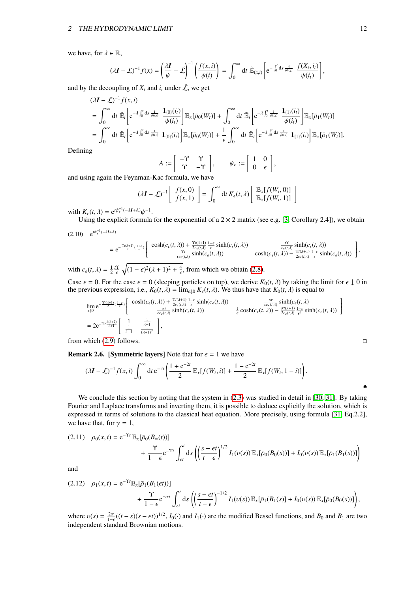#### 2 THE HYDRODYNAMIC LIMIT

we have, for  $\lambda \in \mathbb{R}$ ,

$$
(\lambda \boldsymbol{I} - \boldsymbol{\mathcal{L}})^{-1} f(\boldsymbol{x}) = \left(\frac{\lambda \boldsymbol{I}}{\boldsymbol{\psi}} - \tilde{\boldsymbol{\mathcal{L}}}\right)^{-1} \left(\frac{f(\boldsymbol{x}, i)}{\boldsymbol{\psi}(i)}\right) = \int_0^\infty dt \; \tilde{\mathbb{E}}_{(\boldsymbol{x}, i)} \left[e^{-\int_0^t ds \frac{\lambda}{\boldsymbol{\psi}(i_s)}} \; \frac{f(X_t, i_t)}{\boldsymbol{\psi}(i_t)}\right],
$$

and by the decoupling of  $X_t$  and  $i_t$  under  $\tilde{L}$ , we get

$$
( \lambda \mathbf{I} - \mathcal{L} )^{-1} f(x, i)
$$
  
=  $\int_0^{\infty} dt \, \tilde{\mathbb{E}}_i \left[ e^{-\lambda \int_0^t ds \frac{1}{\psi(s)}} \frac{\mathbf{1}_{\{0\}}(i_t)}{\psi(i_t)} \right] \mathbb{E}_x[ \bar{\rho}_0(W_t)] + \int_0^{\infty} dt \, \tilde{\mathbb{E}}_i \left[ e^{-\lambda \int_0^t \frac{1}{\psi(s)}} \frac{\mathbf{1}_{\{1\}}(i_t)}{\psi(i_t)} \right] \mathbb{E}_x[ \bar{\rho}_1(W_t)]$   
=  $\int_0^{\infty} dt \, \tilde{\mathbb{E}}_i \left[ e^{-\lambda \int_0^t ds \frac{1}{\psi(s)}} \mathbf{1}_{\{0\}}(i_t) \right] \mathbb{E}_x[ \bar{\rho}_0(W_t)] + \frac{1}{\epsilon} \int_0^{\infty} dt \, \tilde{\mathbb{E}}_i \left[ e^{-\lambda \int_0^t ds \frac{1}{\psi(s)}} \mathbf{1}_{\{1\}}(i_t) \right] \mathbb{E}_x[ \bar{\rho}_1(W_t)].$ 

Defining

$$
A := \begin{bmatrix} -\Upsilon & \Upsilon \\ \Upsilon & -\Upsilon \end{bmatrix}, \qquad \psi_{\epsilon} := \begin{bmatrix} 1 & 0 \\ 0 & \epsilon \end{bmatrix},
$$

and using again the Feynman-Kac formula, we have

$$
(\lambda \mathbf{I} - \mathcal{L})^{-1} \left[ \begin{array}{c} f(x,0) \\ f(x,1) \end{array} \right] = \int_0^\infty dt \, K_{\epsilon}(t,\lambda) \left[ \begin{array}{c} \mathbb{E}_x[f(W_t,0)] \\ \mathbb{E}_x[f(W_t,1)] \end{array} \right]
$$

with  $K_{\epsilon}(t, \lambda) = e^{t\psi_{\epsilon}^{-1}}$ <br>Using the explicity <sup>-1</sup>(−λI+A)ψ<sup>−1</sup>.<br>|icit formula

Using the explicit formula for the exponential of a  $2 \times 2$  matrix (see e.g. [\[3,](#page-32-12) Corollary 2.4]), we obtain

$$
(2.10) \quad e^{t\psi_{\epsilon}^{-1}(-\lambda I+A)} = e^{-\frac{\Upsilon t(\lambda+1)}{2}( \frac{1+\epsilon}{\epsilon})} \left[ \begin{array}{cc} \cosh(c_{\epsilon}(t,\lambda)) + \frac{\Upsilon t(\lambda+1)}{2c_{\epsilon}(t,\lambda)} \frac{1-\epsilon}{\epsilon} \sinh(c_{\epsilon}(t,\lambda)) & \frac{t\Upsilon}{c_{\epsilon}(t,\lambda)} \sinh(c_{\epsilon}(t,\lambda)) \\ \frac{\Upsilon t}{\epsilon c_{\epsilon}(t,\lambda)} \sinh(c_{\epsilon}(t,\lambda)) & \cosh(c_{\epsilon}(t,\lambda)) - \frac{\Upsilon t(\lambda+1)}{2c_{\epsilon}(t,\lambda)} \frac{1-\epsilon}{\epsilon} \sinh(c_{\epsilon}(t,\lambda)) \end{array} \right],
$$

with  $c_{\epsilon}(t, \lambda) = \frac{1}{2} \frac{t^{\gamma}}{\epsilon} \sqrt{(1 - \epsilon)^2 (\lambda + 1)^2 + \frac{4}{\epsilon}}$ , from which we obtain [\(2.8\)](#page-11-0).

Case  $\epsilon = 0$ . For the case  $\epsilon = 0$  (sleeping particles on top), we derive  $K_0(t, \lambda)$  by taking the limit for  $\epsilon \downarrow 0$  in the previous expression i.e.  $K_0(t, \lambda) = \lim_{\epsilon \to 0} K_0(t, \lambda)$ . We thus have that  $K_0(t, \lambda)$  is equal t the previous expression, i.e.,  $K_0(t, \lambda) = \lim_{\epsilon \downarrow 0} K_{\epsilon}(t, \lambda)$ . We thus have that  $K_0(t, \lambda)$  is equal to

$$
\lim_{\epsilon \downarrow 0} e^{-\frac{\Upsilon t(\lambda+1)}{2}(\frac{1+\epsilon}{\epsilon})} \left[ \frac{\cosh(c_{\epsilon}(t,\lambda)) + \frac{\Upsilon t(\lambda+1)}{2c_{\epsilon}(t,\lambda)} \frac{1-\epsilon}{\epsilon} \sinh(c_{\epsilon}(t,\lambda))}{\frac{\sigma t}{\epsilon c_{\epsilon}(t,\lambda)} \sinh(c_{\epsilon}(t,\lambda))} - \frac{\frac{t\sigma}{\epsilon c_{\epsilon}(t,\lambda)} \sinh(c_{\epsilon}(t,\lambda))}{\frac{1-\epsilon}{\epsilon} \cosh(c_{\epsilon}(t,\lambda)) - \frac{\sigma t(\lambda+1)}{2c_{\epsilon}(t,\lambda)} \frac{1-\epsilon}{\epsilon^2} \sinh(c_{\epsilon}(t,\lambda))} \right]
$$
\n
$$
= 2e^{-\Upsilon t \frac{\lambda(\lambda+2)}{\lambda+1}} \left[ \frac{1}{\frac{1}{\lambda+1}} \frac{\frac{1}{\lambda+1}}{(\lambda+1)^2} \right],
$$

from which  $(2.9)$  follows.

**Remark 2.6.** [Symmetric layers] Note that for  $\epsilon = 1$  we have

$$
(\lambda \mathbf{I} - \mathcal{L})^{-1} f(x, i) \int_0^\infty dt \, e^{-\lambda t} \left( \frac{1 + e^{-2t}}{2} \mathbb{E}_x[f(W_t, i)] + \frac{1 - e^{-2t}}{2} \mathbb{E}_x[f(W_t, 1 - i)] \right).
$$

We conclude this section by noting that the system in  $(2.3)$  was studied in detail in [\[30,](#page-33-8) [31\]](#page-33-9). By taking Fourier and Laplace transforms and inverting them, it is possible to deduce explicitly the solution, which is expressed in terms of solutions to the classical heat equation. More precisely, using formula [\[31,](#page-33-9) Eq.2.2], we have that, for  $\gamma = 1$ ,

$$
(2.11) \quad \rho_0(x,t) = e^{-\Upsilon t} \mathbb{E}_x[\bar{\rho}_0(B_{=}(t))] \\
+ \frac{\Upsilon}{1-\epsilon} e^{-\Upsilon t} \int_{\epsilon t}^t ds \left( \left( \frac{s-\epsilon t}{t-\epsilon} \right)^{1/2} I_1(\nu(s)) \mathbb{E}_x[\bar{\rho}_0(B_0(s))] + I_0(\nu(s)) \mathbb{E}_x[\bar{\rho}_1(B_1(s))] \right)
$$

and

$$
(2.12) \quad \rho_1(x,t) = e^{-\Upsilon t} \mathbb{E}_x[\bar{\rho}_1(B_1(\epsilon t))]
$$

$$
+ \frac{\Upsilon}{1-\epsilon} e^{-\sigma t} \int_{\epsilon t}^t ds \left( \left( \frac{s-\epsilon t}{t-\epsilon} \right)^{-1/2} I_1(\nu(s)) \mathbb{E}_x[\bar{\rho}_1(B_1(s)] + I_0(\nu(s)) \mathbb{E}_x[\bar{\rho}_0(B_0(s))] \right),
$$

where  $v(s) = \frac{2\sigma}{1-\epsilon}((t-s)(s-\epsilon t))^{1/2}$ ,  $I_0(\cdot)$  and  $I_1(\cdot)$  are the modified Bessel functions, and  $B_0$  and  $B_1$  are two independent standard Brownian motions independent standard Brownian motions.

♠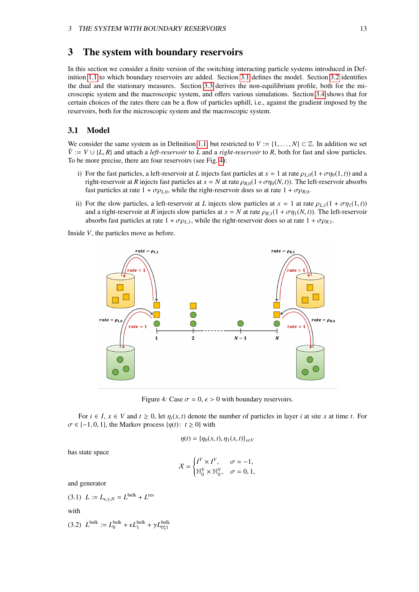# <span id="page-13-0"></span>3 The system with boundary reservoirs

In this section we consider a finite version of the switching interacting particle systems introduced in Definition [1.1](#page-4-3) to which boundary reservoirs are added. Section [3.1](#page-13-1) defines the model. Section [3.2](#page-14-0) identifies the dual and the stationary measures. Section [3.3](#page-16-0) derives the non-equilibrium profile, both for the microscopic system and the macroscopic system, and offers various simulations. Section [3.4](#page-23-0) shows that for certain choices of the rates there can be a flow of particles uphill, i.e., against the gradient imposed by the reservoirs, both for the microscopic system and the macroscopic system.

### <span id="page-13-1"></span>3.1 Model

We consider the same system as in Definition [1.1,](#page-4-3) but restricted to  $V := \{1, \ldots, N\} \subset \mathbb{Z}$ . In addition we set  $\hat{V}$  :=  $V \cup \{L, R\}$  and attach a *left-reservoir* to *L* and a *right-reservoir* to *R*, both for fast and slow particles. To be more precise, there are four reservoirs (see Fig. [4\)](#page-13-2):

- i) For the fast particles, a left-reservoir at *L* injects fast particles at  $x = 1$  at rate  $\rho_{L,0}(1 + \sigma \eta_0(1, t))$  and a right-reservoir at *R* injects fast particles at  $x = N$  at rate  $\rho_{R,0}(1+\sigma\eta_{0}(N,t))$ . The left-reservoir absorbs fast particles at rate  $1 + \sigma \rho_{L,0}$ , while the right-reservoir does so at rate  $1 + \sigma \rho_{R,0}$ .
- ii) For the slow particles, a left-reservoir at *L* injects slow particles at  $x = 1$  at rate  $\rho_{L,1}(1 + \sigma \eta_1(1,t))$ and a right-reservoir at *R* injects slow particles at  $x = N$  at rate  $\rho_{R,1}(1 + \sigma \eta_1(N, t))$ . The left-reservoir absorbs fast particles at rate  $1 + \sigma \rho_{L,1}$ , while the right-reservoir does so at rate  $1 + \sigma \rho_{R,1}$ .

<span id="page-13-2"></span>Inside *V*, the particles move as before.



Figure 4: Case  $\sigma = 0$ ,  $\epsilon > 0$  with boundary reservoirs.

For  $i \in I$ ,  $x \in V$  and  $t \geq 0$ , let  $\eta_i(x, t)$  denote the number of particles in layer *i* at site *x* at time *t*. For  $\sigma \in \{-1, 0, 1\}$ , the Markov process  $\{\eta(t): t \geq 0\}$  with

$$
\eta(t) = \{\eta_0(x, t), \eta_1(x, t)\}_{x \in V}
$$

has state space

$$
\mathcal{X} = \begin{cases} I^V \times I^V, & \sigma = -1, \\ \mathbb{N}_0^V \times \mathbb{N}_0^V, & \sigma = 0, 1, \end{cases}
$$

<span id="page-13-3"></span>and generator

(3.1) 
$$
L := L_{\epsilon,\gamma,N} = L^{\text{bulk}} + L^{\text{res}}
$$
  
with  
(3.2) 
$$
L^{\text{bulk}} := L_0^{\text{bulk}} + \epsilon L_1^{\text{bulk}} + \gamma L_{01}^{\text{bulk}}
$$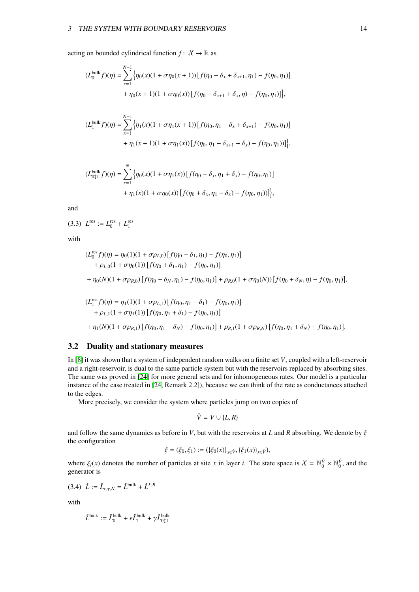acting on bounded cylindrical function  $f: X \to \mathbb{R}$  as

$$
(L_0^{\text{bulk}} f)(\eta) = \sum_{x=1}^{N-1} \{ \eta_0(x)(1 + \sigma \eta_0(x+1)) [f(\eta_0 - \delta_x + \delta_{x+1}, \eta_1) - f(\eta_0, \eta_1)] + \eta_0(x+1)(1 + \sigma \eta_0(x)) [f(\eta_0 - \delta_{x+1} + \delta_x, \eta) - f(\eta_0, \eta_1)] \},
$$

$$
(L_1^{\text{bulk}} f)(\eta) = \sum_{x=1}^{N-1} \{ \eta_1(x)(1 + \sigma \eta_1(x+1)) [f(\eta_0, \eta_1 - \delta_x + \delta_{x+1}) - f(\eta_0, \eta_1)] + \eta_1(x+1)(1 + \sigma \eta_1(x)) [f(\eta_0, \eta_1 - \delta_{x+1} + \delta_x) - f(\eta_0, \eta_1))] \},
$$

$$
(L_{01}^{\text{bulk}} f)(\eta) = \sum_{x=1}^{N} \{ \eta_0(x)(1 + \sigma \eta_1(x)) [f(\eta_0 - \delta_x, \eta_1 + \delta_x) - f(\eta_0, \eta_1)] + \eta_1(x)(1 + \sigma \eta_0(x)) [f(\eta_0 + \delta_x, \eta_1 - \delta_x) - f(\eta_0, \eta_1))] \},
$$

and

 $(L^{\text{res}})$   $L^{\text{res}}$  :=  $L_0^{\text{res}}$  +  $L_1^{\text{res}}$ 

with

$$
(L_0^{\text{res}}f)(\eta) = \eta_0(1)(1 + \sigma \rho_{L,0}) [f(\eta_0 - \delta_1, \eta_1) - f(\eta_0, \eta_1)]
$$
  
+  $\rho_{L,0}(1 + \sigma \eta_0(1)) [f(\eta_0 + \delta_1, \eta_1) - f(\eta_0, \eta_1)]$   
+  $\eta_0(N)(1 + \sigma \rho_{R,0}) [f(\eta_0 - \delta_N, \eta_1) - f(\eta_0, \eta_1)] + \rho_{R,0}(1 + \sigma \eta_0(N)) [f(\eta_0 + \delta_N, \eta) - f(\eta_0, \eta_1)],$   

$$
(L_1^{\text{res}}f)(\eta) = \eta_1(1)(1 + \sigma \rho_{L,1}) [f(\eta_0, \eta_1 - \delta_1) - f(\eta_0, \eta_1)]
$$
  
+  $\rho_{L,1}(1 + \sigma \eta_1(1)) [f(\eta_0, \eta_1 + \delta_1) - f(\eta_0, \eta_1)]$   
+  $\eta_1(N)(1 + \sigma \rho_{R,1}) [f(\eta_0, \eta_1 - \delta_N) - f(\eta_0, \eta_1)] + \rho_{R,1}(1 + \sigma \rho_{R,N}) [f(\eta_0, \eta_1 + \delta_N) - f(\eta_0, \eta_1)].$ 

# <span id="page-14-0"></span>3.2 Duality and stationary measures

In [\[8\]](#page-32-0) it was shown that a system of independent random walks on a finite set *V*, coupled with a left-reservoir and a right-reservoir, is dual to the same particle system but with the reservoirs replaced by absorbing sites. The same was proved in [\[24\]](#page-33-19) for more general sets and for inhomogeneous rates. Our model is a particular instance of the case treated in [\[24,](#page-33-19) Remark 2.2]), because we can think of the rate as conductances attached to the edges.

More precisely, we consider the system where particles jump on two copies of

$$
\hat{V} = V \cup \{L, R\}
$$

and follow the same dynamics as before in *V*, but with the reservoirs at *L* and *R* absorbing. We denote by  $\xi$ the configuration

$$
\xi = (\xi_0, \xi_1) := (\{\xi_0(x)\}_{x \in \hat{V}}, \{\xi_1(x)\}_{x \in \hat{V}}),
$$

<span id="page-14-1"></span>where  $\xi_i(x)$  denotes the number of particles at site *x* in layer *i*. The state space is  $X = \mathbb{N}_0^{\hat{V}} \times \mathbb{N}_0^{\hat{V}}$ , and the generator is generator is

$$
(3.4) \quad \hat{L} := \hat{L}_{\epsilon,\gamma,N} = \hat{L}^{\text{bulk}} + \hat{L}^{L,R}
$$

with

$$
\hat{L}^{\text{bulk}} := \hat{L}_0^{\text{bulk}} + \epsilon \hat{L}_1^{\text{bulk}} + \gamma \hat{L}_{0\downarrow 1}^{\text{bulk}}
$$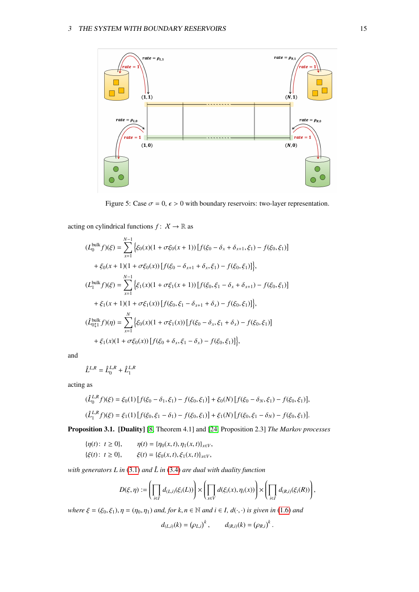

Figure 5: Case  $\sigma = 0$ ,  $\epsilon > 0$  with boundary reservoirs: two-layer representation.

acting on cylindrical functions  $f: X \to \mathbb{R}$  as

$$
(L_0^{\text{bulk}} f)(\xi) = \sum_{x=1}^{N-1} \left\{ \xi_0(x)(1 + \sigma \xi_0(x+1)) \left[ f(\xi_0 - \delta_x + \delta_{x+1}, \xi_1) - f(\xi_0, \xi_1) \right] \right\}
$$
  
+  $\xi_0(x+1)(1 + \sigma \xi_0(x)) \left[ f(\xi_0 - \delta_{x+1} + \delta_x, \xi_1) - f(\xi_0, \xi_1) \right] \right\},$   

$$
(L_1^{\text{bulk}} f)(\xi) = \sum_{x=1}^{N-1} \left\{ \xi_1(x)(1 + \sigma \xi_1(x+1)) \left[ f(\xi_0, \xi_1 - \delta_x + \delta_{x+1}) - f(\xi_0, \xi_1) \right] \right\}
$$
  
+  $\xi_1(x+1)(1 + \sigma \xi_1(x)) \left[ f(\xi_0, \xi_1 - \delta_{x+1} + \delta_x) - f(\xi_0, \xi_1) \right] \right\},$   

$$
(L_{011}^{\text{bulk}} f)(\eta) = \sum_{x=1}^{N} \left\{ \xi_0(x)(1 + \sigma \xi_1(x)) \left[ f(\xi_0 - \delta_x, \xi_1 + \delta_x) - f(\xi_0, \xi_1) \right] \right\}
$$
  
+  $\xi_1(x)(1 + \sigma \xi_0(x)) \left[ f(\xi_0 + \delta_x, \xi_1 - \delta_x) - f(\xi_0, \xi_1) \right] \right\},$ 

and

$$
\hat{L}^{L,R} = \hat{L}_0^{L,R} + \hat{L}_1^{L,R}
$$

acting as

$$
(\hat{L}_0^{L,R}f)(\xi) = \xi_0(1) [f(\xi_0 - \delta_1, \xi_1) - f(\xi_0, \xi_1)] + \xi_0(N) [f(\xi_0 - \delta_N, \xi_1) - f(\xi_0, \xi_1)],
$$
  

$$
(\hat{L}_1^{L,R}f)(\xi) = \xi_1(1) [f(\xi_0, \xi_1 - \delta_1) - f(\xi_0, \xi_1)] + \xi_1(N) [f(\xi_0, \xi_1 - \delta_N) - f(\xi_0, \xi_1)].
$$

<span id="page-15-0"></span>Proposition 3.1. [Duality] [\[8,](#page-32-0) Theorem 4.1] and [\[24,](#page-33-19) Proposition 2.3] *The Markov processes*

 $\label{eq:eta} \begin{aligned} \{\eta(t): \ t\geq 0\}, \qquad \eta(t) &= \{\eta_0(x,t), \eta_1(x,t)\}_{x\in V}, \\ \{\xi(t): \ t\geq 0\}, \qquad \xi(t) &= \{\xi_0(x,t), \xi_1(x,t)\}_{x\in V}, \end{aligned}$  $\xi(t) = {\xi_0(x, t), \xi_1(x, t)}_{x \in V}$ 

*with generators L in*  $(3.1)$  *and*  $\hat{L}$  *in*  $(3.4)$  *are dual with duality function* 

$$
D(\xi,\eta):=\left(\prod_{i\in I}d_{(L,i)}(\xi_i(L))\right)\times\left(\prod_{x\in V}d(\xi_i(x),\eta_i(x))\right)\times\left(\prod_{i\in I}d_{(R,i)}(\xi_i(R))\right),
$$

*where*  $\xi = (\xi_0, \xi_1), \eta = (\eta_0, \eta_1)$  *and, for*  $k, n \in \mathbb{N}$  *and*  $i \in I$ ,  $d(\cdot, \cdot)$  *is given in* [\(1.6\)](#page-5-3) *and* 

$$
d_{(L,i)}(k) = (\rho_{L,i})^k
$$
,  $d_{(R,i)}(k) = (\rho_{R,i})^k$ .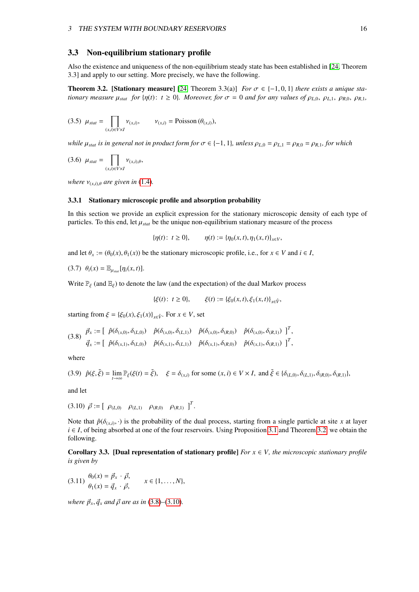### <span id="page-16-0"></span>3.3 Non-equilibrium stationary profile

Also the existence and uniqueness of the non-equilibrium steady state has been established in [\[24,](#page-33-19) Theorem 3.3] and apply to our setting. More precisely, we have the following.

<span id="page-16-2"></span>**Theorem 3.2.** [Stationary measure] [\[24,](#page-33-19) Theorem 3.3(a)] *For*  $\sigma \in \{-1, 0, 1\}$  *there exists a unique stationary measure*  $\mu_{stat}$  *for*  $\{\eta(t): t \geq 0\}$ *. Moreover, for*  $\sigma = 0$  *and for any values of*  $\rho_{L,0}, \rho_{L,1}, \rho_{R,0}, \rho_{R,1}$ 

(3.5) 
$$
\mu_{stat} = \prod_{(x,i)\in V\times I} \nu_{(x,i)}, \qquad \nu_{(x,i)} = \text{Poisson}(\theta_{(x,i)}),
$$

*while*  $\mu_{stat}$  *is in general not in product form for*  $\sigma \in \{-1, 1\}$ *, unless*  $\rho_{L0} = \rho_{L1} = \rho_{R0} = \rho_{R1}$ *, for which* 

$$
(3.6) \ \mu_{stat} = \prod_{(x,i)\in V\times I} \nu_{(x,i),\theta},
$$

*where*  $v_{(x,i),\theta}$  *are given in* [\(1.4\)](#page-5-4)*.* 

#### <span id="page-16-1"></span>3.3.1 Stationary microscopic profile and absorption probability

In this section we provide an explicit expression for the stationary microscopic density of each type of particles. To this end, let  $\mu_{stat}$  be the unique non-equilibrium stationary measure of the process

<span id="page-16-6"></span> ${\eta(t): t \geq 0}, \qquad \eta(t) := {\eta_0(x, t), \eta_1(x, t)}_{x \in V}$ 

and let  $\theta_x := (\theta_0(x), \theta_1(x))$  be the stationary microscopic profile, i.e., for  $x \in V$  and  $i \in I$ ,

$$
(3.7) \ \theta_i(x) = \mathbb{E}_{\mu_{stat}}[\eta_i(x,t)].
$$

Write  $\mathbb{P}_{\xi}$  (and  $\mathbb{E}_{\xi}$ ) to denote the law (and the expectation) of the dual Markov process

<span id="page-16-3"></span>
$$
\{\xi(t): t \ge 0\}, \qquad \xi(t) := \{\xi_0(x, t), \xi_1(x, t)\}_{x \in \hat{V}},
$$

starting from  $\xi = {\xi_0(x), \xi_1(x)}_{x \in \hat{V}}$ . For  $x \in V$ , set

$$
(3.8) \quad \vec{p}_x := \left[ \begin{array}{cc} \hat{p}(\delta_{(x,0)}, \delta_{(L,0)}) & \hat{p}(\delta_{(x,0)}, \delta_{(L,1)}) & \hat{p}(\delta_{(x,0)}, \delta_{(R,0)}) & \hat{p}(\delta_{(x,0)}, \delta_{(R,1)}) \end{array} \right]^T, \\ \vec{q}_x := \left[ \begin{array}{cc} \hat{p}(\delta_{(x,1)}, \delta_{(L,0)}) & \hat{p}(\delta_{(x,1)}, \delta_{(L,1)}) & \hat{p}(\delta_{(x,1)}, \delta_{(R,0)}) & \hat{p}(\delta_{(x,1)}, \delta_{(R,1)}) \end{array} \right]^T,
$$

<span id="page-16-5"></span>where

$$
(3.9) \quad \hat{p}(\xi,\tilde{\xi}) = \lim_{t \to \infty} \mathbb{P}_{\xi}(\xi(t) = \tilde{\xi}), \quad \xi = \delta_{(x,i)} \text{ for some } (x,i) \in V \times I, \text{ and } \tilde{\xi} \in \{\delta_{(L,0)}, \delta_{(L,1)}, \delta_{(R,0)}, \delta_{(R,1)}\},
$$

<span id="page-16-4"></span>and let

 $(3.10) \ \vec{\rho} := \left[ \begin{array}{cc} \rho_{(L,0)} & \rho_{(L,1)} & \rho_{(R,0)} & \rho_{(R,1)} \end{array} \right]^T$ .

Note that  $\hat{p}(\delta_{(x,i)}, \cdot)$  is the probability of the dual process, starting from a single particle at site *x* at layer  $i \in I$  of being absorbed at one of the four reservoirs. Using Proposition 3.1 and Theorem 3.2, we ob *i* ∈ *I*, of being absorbed at one of the four reservoirs. Using Proposition [3.1](#page-15-0) and Theorem [3.2,](#page-16-2) we obtain the following.

<span id="page-16-8"></span><span id="page-16-7"></span>Corollary 3.3. [Dual representation of stationary profile]  $For x \in V$ , the microscopic stationary profile *is given by*

$$
(3.11) \begin{aligned} \theta_0(x) &= \vec{p}_x \cdot \vec{\rho}, \\ \theta_1(x) &= \vec{q}_x \cdot \vec{\rho}, \end{aligned} \qquad x \in \{1, \dots, N\},
$$

*where*  $\vec{p}_x$ ,  $\vec{q}_x$  *and*  $\vec{\rho}$  *are as in* [\(3.8\)](#page-16-3)–[\(3.10\)](#page-16-4)*.*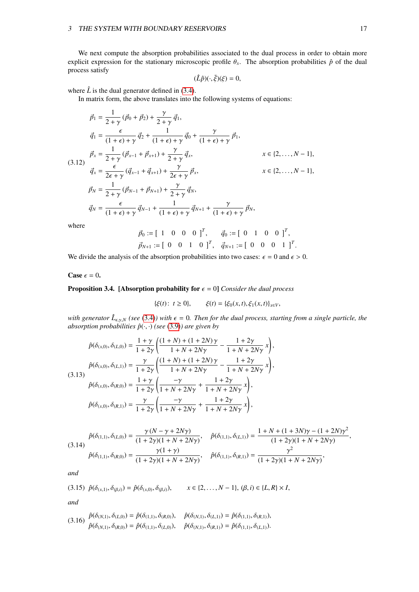We next compute the absorption probabilities associated to the dual process in order to obtain more explicit expression for the stationary microscopic profile  $\theta_x$ . The absorption probabilities  $\hat{p}$  of the dual process satisfy

<span id="page-17-0"></span>
$$
(\hat{L}\hat{p})(\cdot,\tilde{\xi})(\xi)=0,
$$

where  $\hat{L}$  is the dual generator defined in [\(3.4\)](#page-14-1).

In matrix form, the above translates into the following systems of equations:

$$
\vec{p}_1 = \frac{1}{2+\gamma} (\vec{p}_0 + \vec{p}_2) + \frac{\gamma}{2+\gamma} \vec{q}_1,
$$
\n
$$
\vec{q}_1 = \frac{\epsilon}{(1+\epsilon)+\gamma} \vec{q}_2 + \frac{1}{(1+\epsilon)+\gamma} \vec{q}_0 + \frac{\gamma}{(1+\epsilon)+\gamma} \vec{p}_1,
$$
\n
$$
\vec{p}_x = \frac{1}{2+\gamma} (\vec{p}_{x-1} + \vec{p}_{x+1}) + \frac{\gamma}{2+\gamma} \vec{q}_x, \qquad x \in \{2, ..., N-1\},
$$
\n
$$
\vec{q}_x = \frac{\epsilon}{2\epsilon+\gamma} (\vec{q}_{x-1} + \vec{q}_{x+1}) + \frac{\gamma}{2\epsilon+\gamma} \vec{p}_x, \qquad x \in \{2, ..., N-1\},
$$
\n
$$
\vec{p}_N = \frac{1}{2+\gamma} (\vec{p}_{N-1} + \vec{p}_{N+1}) + \frac{\gamma}{2+\gamma} \vec{q}_N,
$$
\n
$$
\vec{q}_N = \frac{\epsilon}{(1+\epsilon)+\gamma} \vec{q}_{N-1} + \frac{1}{(1+\epsilon)+\gamma} \vec{q}_{N+1} + \frac{\gamma}{(1+\epsilon)+\gamma} \vec{p}_N,
$$

where

 $\vec{p}_0 := [ 1 \ 0 \ 0 \ 0 \ 1]^T$ ,  $\vec{q}_0 := [ 0 \ 1 \ 0 \ 0 \ 1]^T$ ,  $\vec{p}_{N+1} := [0 \ 0 \ 1 \ 0]^T$ ,  $\vec{q}_{N+1} := [0 \ 0 \ 0 \ 1]^T$ .

We divide the analysis of the absorption probabilities into two cases:  $\epsilon = 0$  and  $\epsilon > 0$ .

### Case  $\epsilon = 0$ .

#### <span id="page-17-1"></span>**Proposition 3.4.** [Absorption probability for  $\epsilon = 0$ ] *Consider the dual process*

$$
\{\xi(t): t \ge 0\}, \qquad \xi(t) = \{\xi_0(x,t), \xi_1(x,t)\}_{x \in V},
$$

*with generator*  $\hat{L}_{\epsilon,\gamma,N}$  (see [\(3.4\)](#page-14-1)) with  $\epsilon = 0$ . Then for the dual process, starting from a single particle, the absorption probabilities  $\hat{n}(\cdot, \cdot)$  (see (3.9)) are given by *absorption probabilities*  $\hat{p}(\cdot, \cdot)$  *(see* [\(3.9\)](#page-16-5)*)* are given by

$$
\hat{p}(\delta_{(x,0)}, \delta_{(L,0)}) = \frac{1 + \gamma}{1 + 2\gamma} \left( \frac{(1 + N) + (1 + 2N)\gamma}{1 + N + 2N\gamma} - \frac{1 + 2\gamma}{1 + N + 2N\gamma} x \right),
$$
\n
$$
\hat{p}(\delta_{(x,0)}, \delta_{(L,1)}) = \frac{\gamma}{1 + 2\gamma} \left( \frac{(1 + N) + (1 + 2N)\gamma}{1 + N + 2N\gamma} - \frac{1 + 2\gamma}{1 + N + 2N\gamma} x \right),
$$
\n
$$
\hat{p}(\delta_{(x,0)}, \delta_{(R,0)}) = \frac{1 + \gamma}{1 + 2\gamma} \left( \frac{-\gamma}{1 + N + 2N\gamma} + \frac{1 + 2\gamma}{1 + N + 2N\gamma} x \right),
$$
\n
$$
\hat{p}(\delta_{(x,0)}, \delta_{(R,1)}) = \frac{\gamma}{1 + 2\gamma} \left( \frac{-\gamma}{1 + N + 2N\gamma} + \frac{1 + 2\gamma}{1 + N + 2N\gamma} x \right),
$$

$$
\hat{p}(\delta_{(1,1)},\delta_{(L,0)}) = \frac{\gamma(N-\gamma+2N\gamma)}{(1+2\gamma)(1+N+2N\gamma)}, \quad \hat{p}(\delta_{(1,1)},\delta_{(L,1)}) = \frac{1+N+(1+3N)\gamma-(1+2N)\gamma^2}{(1+2\gamma)(1+N+2N\gamma)},
$$
  

$$
\hat{p}(\delta_{(1,1)},\delta_{(R,0)}) = \frac{\gamma(1+\gamma)}{(1+2\gamma)(1+N+2N\gamma)}, \quad \hat{p}(\delta_{(1,1)},\delta_{(R,1)}) = \frac{\gamma^2}{(1+2\gamma)(1+N+2N\gamma)},
$$

*and*

$$
(3.15) \ \hat{p}(\delta_{(x,1)}, \delta_{(\beta,i)}) = \hat{p}(\delta_{(x,0)}, \delta_{(\beta,i)}), \qquad x \in \{2, \dots, N-1\}, \ (\beta, i) \in \{L, R\} \times I,
$$

*and*

$$
(3.16)\ \hat{p}(\delta_{(N,1)},\delta_{(L,0)}) = \hat{p}(\delta_{(1,1)},\delta_{(R,0)}),\quad \hat{p}(\delta_{(N,1)},\delta_{(L,1)}) = \hat{p}(\delta_{(1,1)},\delta_{(R,1)}),\\ \hat{p}(\delta_{(N,1)},\delta_{(R,0)}) = \hat{p}(\delta_{(1,1)},\delta_{(L,0)}),\quad \hat{p}(\delta_{(N,1)},\delta_{(R,1)}) = \hat{p}(\delta_{(1,1)},\delta_{(L,1)}).
$$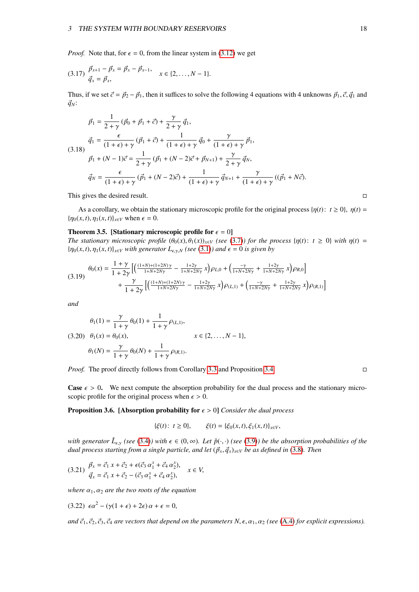*Proof.* Note that, for  $\epsilon = 0$ , from the linear system in [\(3.12\)](#page-17-0) we get

$$
(3.17) \frac{\vec{p}_{x+1} - \vec{p}_x = \vec{p}_x - \vec{p}_{x-1}}{\vec{q}_x = \vec{p}_x}, \quad x \in \{2, \dots, N-1\}.
$$

Thus, if we set  $\vec{c} = \vec{p}_2 - \vec{p}_1$ , then it suffices to solve the following 4 equations with 4 unknowns  $\vec{p}_1$ ,  $\vec{c}$ ,  $\vec{q}_1$  and  $\vec{q}_N$ :

$$
\vec{p}_1 = \frac{1}{2+\gamma} (\vec{p}_0 + \vec{p}_1 + \vec{c}) + \frac{\gamma}{2+\gamma} \vec{q}_1,
$$
\n
$$
\vec{q}_1 = \frac{\epsilon}{(1+\epsilon)+\gamma} (\vec{p}_1 + \vec{c}) + \frac{1}{(1+\epsilon)+\gamma} \vec{q}_0 + \frac{\gamma}{(1+\epsilon)+\gamma} \vec{p}_1,
$$
\n
$$
\vec{p}_1 + (N-1)\vec{c} = \frac{1}{2+\gamma} (\vec{p}_1 + (N-2)\vec{c} + \vec{p}_{N+1}) + \frac{\gamma}{2+\gamma} \vec{q}_N,
$$
\n
$$
\vec{q}_N = \frac{\epsilon}{(1+\epsilon)+\gamma} (\vec{p}_1 + (N-2)\vec{c}) + \frac{1}{(1+\epsilon)+\gamma} \vec{q}_{N+1} + \frac{\gamma}{(1+\epsilon)+\gamma} ((\vec{p}_1 + N\vec{c}).
$$

This gives the desired result.

As a corollary, we obtain the stationary microscopic profile for the original process { $\eta(t)$ :  $t \ge 0$ },  $\eta(t) =$  ${\eta_0(x, t), \eta_1(x, t)}_{x \in V}$  when  $\epsilon = 0$ .

#### Theorem 3.5. [Stationary microscopic profile for  $\epsilon = 0$ ]

*The stationary microscopic profile*  $(\theta_0(x), \theta_1(x))_{x \in V}$  (see [\(3.7\)](#page-16-6)) for the process  $\{\eta(t): t \geq 0\}$  with  $\eta(t)$  =  ${\eta_0(x, t), \eta_1(x, t)}_{x \in V}$  *with generator*  $L_{\epsilon, \gamma, N}$  *(see [\(3.1\)](#page-13-3)) and*  $\epsilon = 0$  *is given by* 

$$
\theta_0(x) = \frac{1+\gamma}{1+2\gamma} \left[ \left( \frac{(1+N)+(1+2N)\gamma}{1+N+2N\gamma} - \frac{1+2\gamma}{1+N+2N\gamma} x \right) \rho_{L,0} + \left( \frac{-\gamma}{1+N+2N\gamma} + \frac{1+2\gamma}{1+N+2N\gamma} x \right) \rho_{R,0} \right] + \frac{\gamma}{1+2\gamma} \left[ \left( \frac{(1+N)+(1+2N)\gamma}{1+N+2N\gamma} - \frac{1+2\gamma}{1+N+2N\gamma} x \right) \rho_{(L,1)} + \left( \frac{-\gamma}{1+N+2N\gamma} + \frac{1+2\gamma}{1+N+2N\gamma} x \right) \rho_{(R,1)} \right]
$$

*and*

$$
\theta_1(1) = \frac{\gamma}{1+\gamma} \theta_0(1) + \frac{1}{1+\gamma} \rho_{(L,1)},
$$
  
(3.20)  $\theta_1(x) = \theta_0(x),$   $x \in \{2, ..., N-1\},$   
 $\theta_1(N) = \frac{\gamma}{1+\gamma} \theta_0(N) + \frac{1}{1+\gamma} \rho_{(R,1)}.$ 

*Proof.* The proof directly follows from Corollary [3.3](#page-16-7) and Proposition [3.4.](#page-17-1)

**Case**  $\epsilon > 0$ . We next compute the absorption probability for the dual process and the stationary microscopic profile for the original process when  $\epsilon > 0$ .

<span id="page-18-1"></span>**Proposition 3.6.** [Absorption probability for  $\epsilon > 0$ ] *Consider the dual process* 

<span id="page-18-0"></span>
$$
\{\xi(t): t \ge 0\}, \qquad \xi(t) = \{\xi_0(x, t), \xi_1(x, t)\}_{x \in V},
$$

*with generator*  $\hat{L}_{\epsilon,\gamma}$  *(see* [\(3.4\)](#page-14-1)*)* with  $\epsilon \in (0,\infty)$ *. Let*  $\hat{p}(\cdot,\cdot)$  *(see* [\(3.9\)](#page-16-5)*) be the absorption probabilities of the dual process starting from a single particle and let*  $(\vec{a}, \vec{a})$  *whe as defi dual process starting from a single particle, and let*  $(\vec{p}_x, \vec{q}_x)_{x \in V}$  *be as defined in* [\(3.8\)](#page-16-3)*. Then* 

$$
(3.21) \frac{\vec{p}_x = \vec{c}_1 x + \vec{c}_2 + \epsilon(\vec{c}_3 \alpha_1^x + \vec{c}_4 \alpha_2^x),}{\vec{q}_x = \vec{c}_1 x + \vec{c}_2 - (\vec{c}_3 \alpha_1^x + \vec{c}_4 \alpha_2^x),} \quad x \in V,
$$

*where*  $\alpha_1, \alpha_2$  *are the two roots of the equation* 

$$
(3.22) \epsilon \alpha^2 - (\gamma (1 + \epsilon) + 2\epsilon) \alpha + \epsilon = 0,
$$

*and*  $\vec{c}_1$ ,  $\vec{c}_2$ ,  $\vec{c}_3$ ,  $\vec{c}_4$  *are vectors that depend on the parameters N*,  $\epsilon$ ,  $\alpha_1$ ,  $\alpha_2$  *(see* [\(A.4\)](#page-30-3) *for explicit expressions*).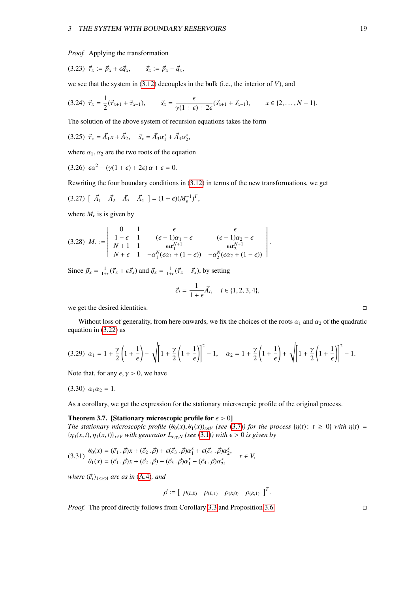<span id="page-19-1"></span>*Proof.* Applying the transformation

$$
(3.23) \ \vec{\tau}_x := \vec{p}_x + \epsilon \vec{q}_x, \qquad \vec{s}_x := \vec{p}_x - \vec{q}_x,
$$

we see that the system in [\(3.12\)](#page-17-0) decouples in the bulk (i.e., the interior of *V*), and

$$
(3.24) \ \vec{\tau}_x = \frac{1}{2}(\vec{\tau}_{x+1} + \vec{\tau}_{x-1}), \qquad \vec{s}_x = \frac{\epsilon}{\gamma(1+\epsilon) + 2\epsilon}(\vec{s}_{x+1} + \vec{s}_{x-1}), \qquad x \in \{2, \dots, N-1\}.
$$

The solution of the above system of recursion equations takes the form

$$
(3.25) \ \vec{\tau}_x = \vec{A_1}x + \vec{A_2}, \quad \vec{s}_x = \vec{A_3}a_1^x + \vec{A_4}a_2^x,
$$

where  $\alpha_1, \alpha_2$  are the two roots of the equation

$$
(3.26) \epsilon \alpha^2 - (\gamma(1+\epsilon) + 2\epsilon) \alpha + \epsilon = 0.
$$

Rewriting the four boundary conditions in [\(3.12\)](#page-17-0) in terms of the new transformations, we get

$$
(3.27) [\vec{A}_1 \ \vec{A}_2 \ \vec{A}_3 \ \vec{A}_4] = (1+\epsilon)(M_{\epsilon}^{-1})^T,
$$

<span id="page-19-3"></span>where  $M_{\epsilon}$  is is given by

$$
(3.28) \ \ M_{\epsilon}:=\left[\begin{array}{cccc} 0 & 1 & \epsilon & \epsilon \\ 1-\epsilon & 1 & (\epsilon-1)\alpha_1-\epsilon & (\epsilon-1)\alpha_2-\epsilon \\ N+1 & 1 & \epsilon\alpha_1^{N+1} & \epsilon\alpha_2^{N+1} \\ N+\epsilon & 1 & -\alpha_1^N(\epsilon\alpha_1+(1-\epsilon)) & -\alpha_2^N(\epsilon\alpha_2+(1-\epsilon)) \end{array}\right].
$$

Since  $\vec{p}_x = \frac{1}{1+\epsilon}(\vec{\tau}_x + \epsilon \vec{s}_x)$  and  $\vec{q}_x = \frac{1}{1+\epsilon}(\vec{\tau}_x - \vec{s}_x)$ , by setting

<span id="page-19-4"></span><span id="page-19-2"></span>
$$
\vec{c}_i = \frac{1}{1+\epsilon} \vec{A}_i, \quad i \in \{1, 2, 3, 4\},\
$$

we get the desired identities.

<span id="page-19-0"></span>Without loss of generality, from here onwards, we fix the choices of the roots  $\alpha_1$  and  $\alpha_2$  of the quadratic equation in [\(3.22\)](#page-18-0) as

$$
(3.29) \ \alpha_1 = 1 + \frac{\gamma}{2} \left( 1 + \frac{1}{\epsilon} \right) - \sqrt{\left[ 1 + \frac{\gamma}{2} \left( 1 + \frac{1}{\epsilon} \right) \right]^2 - 1}, \quad \alpha_2 = 1 + \frac{\gamma}{2} \left( 1 + \frac{1}{\epsilon} \right) + \sqrt{\left[ 1 + \frac{\gamma}{2} \left( 1 + \frac{1}{\epsilon} \right) \right]^2 - 1}.
$$

Note that, for any  $\epsilon$ ,  $\gamma > 0$ , we have

$$
(3.30) \ \alpha_1\alpha_2=1.
$$

As a corollary, we get the expression for the stationary microscopic profile of the original process.

#### Theorem 3.7. [Stationary microscopic profile for  $\epsilon > 0$ ]

*The stationary microscopic profile*  $(\theta_0(x), \theta_1(x))_{x \in V}$  (see [\(3.7\)](#page-16-6)) for the process  $\{\eta(t): t \geq 0\}$  with  $\eta(t)$  =  ${\eta_0(x, t), \eta_1(x, t)}_{x \in V}$  *with generator*  $L_{\epsilon, v, N}$  *(see* [\(3.1\)](#page-13-3)*) with*  $\epsilon > 0$  *is given by* 

$$
(3.31) \begin{aligned} \theta_0(x) &= (\vec{c}_1 \cdot \vec{\rho})x + (\vec{c}_2 \cdot \vec{\rho}) + \epsilon(\vec{c}_3 \cdot \vec{\rho})\alpha_1^x + \epsilon(\vec{c}_4 \cdot \vec{\rho})\alpha_2^x, \\ \theta_1(x) &= (\vec{c}_1 \cdot \vec{\rho})x + (\vec{c}_2 \cdot \vec{\rho}) - (\vec{c}_3 \cdot \vec{\rho})\alpha_1^x - (\vec{c}_4 \cdot \vec{\rho})\alpha_2^x, \end{aligned} \quad x \in V,
$$

*where*  $(\vec{c}_i)_{1 \leq i \leq 4}$  *are as in* [\(A.4\)](#page-30-3)*, and* 

$$
\vec{\rho} := \left[ \begin{array}{cc} \rho_{(L,0)} & \rho_{(L,1)} & \rho_{(R,0)} & \rho_{(R,1)} \end{array} \right]^T.
$$

*Proof.* The proof directly follows from Corollary [3.3](#page-16-7) and Proposition [3.6.](#page-18-1)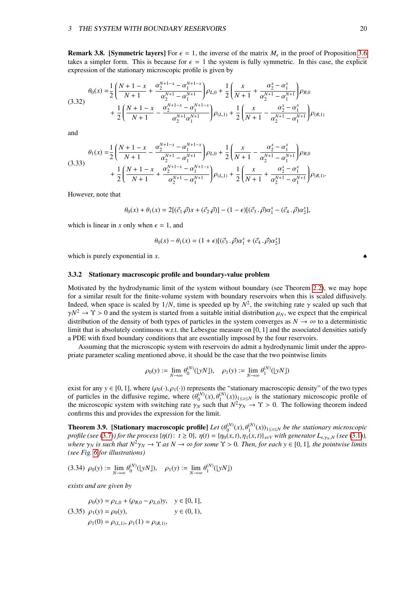**Remark 3.8. [Symmetric layers]** For  $\epsilon = 1$ , the inverse of the matrix  $M_{\epsilon}$  in the proof of Proposition [3.6](#page-18-1) takes a simpler form. This is because for  $\epsilon = 1$  the system is fully symmetric. In this case, the explicit takes a simpler form. This is because for  $\epsilon = 1$  the system is fully symmetric. In this case, the explicit expression of the stationary microscopic profile is given by

$$
\theta_{0}(x) = \frac{1}{2} \left( \frac{N+1-x}{N+1} + \frac{\alpha_{2}^{N+1-x} - \alpha_{1}^{N+1-x}}{\alpha_{2}^{N+1} - \alpha_{1}^{N+1}} \right) \rho_{L,0} + \frac{1}{2} \left( \frac{x}{N+1} + \frac{\alpha_{2}^{x} - \alpha_{1}^{x}}{\alpha_{2}^{N+1} - \alpha_{1}^{N+1}} \right) \rho_{R,0} + \frac{1}{2} \left( \frac{N+1-x}{N+1} - \frac{\alpha_{2}^{N+1-x} - \alpha_{1}^{N+1-x}}{\alpha_{2}^{N+1}\alpha_{1}^{N+1}} \right) \rho_{(L,1)} + \frac{1}{2} \left( \frac{x}{N+1} - \frac{\alpha_{2}^{x} - \alpha_{1}^{x}}{\alpha_{2}^{N+1} - \alpha_{1}^{N+1}} \right) \rho_{(R,1)}
$$

and

$$
\begin{split} \theta_1(x) =& \frac{1}{2} \Bigg( \frac{N+1-x}{N+1} - \frac{\alpha_2^{N+1-x} - \alpha_1^{N+1-x}}{\alpha_2^{N+1} - \alpha_1^{N+1}} \Bigg) \rho_{L,0} + \frac{1}{2} \Bigg( \frac{x}{N+1} - \frac{\alpha_2^x - \alpha_1^x}{\alpha_2^{N+1} - \alpha_1^{N+1}} \Bigg) \rho_{R,0} \\ &+ \frac{1}{2} \Bigg( \frac{N+1-x}{N+1} + \frac{\alpha_2^{N+1-x} - \alpha_1^{N+1-x}}{\alpha_2^{N+1} - \alpha_1^{N+1}} \Bigg) \rho_{(L,1)} + \frac{1}{2} \Bigg( \frac{x}{N+1} + \frac{\alpha_2^x - \alpha_1^x}{\alpha_2^{N+1} - \alpha_1^{N+1}} \Bigg) \rho_{(R,1)}. \end{split}
$$

However, note that

$$
\theta_0(x) + \theta_1(x) = 2[(\vec{c}_1 \cdot \vec{\rho})x + (\vec{c}_2 \cdot \vec{\rho})] - (1 - \epsilon)[(\vec{c}_3 \cdot \vec{\rho})\alpha_1^x - (\vec{c}_4 \cdot \vec{\rho})\alpha_2^x],
$$

which is linear in *x* only when  $\epsilon = 1$ , and

$$
\theta_0(x) - \theta_1(x) = (1 + \epsilon)[(\vec{c}_3 \cdot \vec{\rho})\alpha_1^x + (\vec{c}_4 \cdot \vec{\rho})\alpha_2^x]
$$

which is purely exponential in  $x$ .

#### <span id="page-20-0"></span>3.3.2 Stationary macroscopic profile and boundary-value problem

Motivated by the hydrodynamic limit of the system without boundary (see Theorem [2.2\)](#page-8-1), we may hope for a similar result for the finite-volume system with boundary reservoirs when this is scaled diffusively. Indeed, when space is scaled by  $1/N$ , time is speeded up by  $N^2$ , the switching rate γ scaled up such that  $\gamma N^2 \rightarrow \gamma > 0$  and the system is started from a suitable initial distribution  $\mu_N$ , we expect that the empirical  $\gamma N^2 \to \Upsilon > 0$  and the system is started from a suitable initial distribution  $\mu_N$ , we expect that the empirical distribution of the density of both types of particles in the system converges as  $N \to \infty$  to a determinis distribution of the density of both types of particles in the system converges as  $N \to \infty$  to a deterministic limit that is absolutely continuous w.r.t. the Lebesgue measure on [0, 1] and the associated densities satisfy a PDE with fixed boundary conditions that are essentially imposed by the four reservoirs.

Assuming that the microscopic system with reservoirs do admit a hydrodynamic limit under the appropriate parameter scaling mentioned above, it should be the case that the two pointwise limits

<span id="page-20-1"></span>
$$
\rho_0(y) := \lim_{N \to \infty} \theta_0^{(N)}(\lfloor yN \rfloor), \quad \rho_1(y) := \lim_{N \to \infty} \theta_1^{(N)}(\lfloor yN \rfloor)
$$

exist for any  $y \in [0, 1]$ , where  $(\rho_0(\cdot), \rho_1(\cdot))$  represents the "stationary macroscopic density" of the two types of particles in the diffusive regime, where  $(\theta_0^{(N)})$ <br>the microscopic system with switching rate  $\gamma_{\text{U}}$  $\phi_0^{(N)}(x), \theta_1^{(N)}(x))_{1 \le x \le N}$  is the stationary microscopic profile of  $N^2 \chi_{N} \to \gamma > 0$ . The following theorem indeed the microscopic system with switching rate  $\gamma_N$  such that  $N^2 \gamma_N \to \Upsilon > 0$ . The following theorem indeed confirms this and provides the expression for the limit confirms this and provides the expression for the limit.

**Theorem 3.9.** [Stationary macroscopic profile] Let  $(\theta_0^{(N)})$ <br>profile (see (3.7)) for the process  $p(t)$ :  $t > 0$ ,  $p(t) = ln(x)$  $\begin{pmatrix} (N) & (N) \\ 0 & (N) \end{pmatrix}$  (*x*)  $\begin{pmatrix} (N) & (N) \\ (N) & (N) \end{pmatrix}$  (*x*) *n*) (*x*) *n*) *with generator l n*) (*xee* (3, 1)) profile (see [\(3.7\)](#page-16-6)) for the process  $\{\eta(t): t \geq 0\}$ ,  $\eta(t) = \{\eta_0(x, t), \eta_1(x, t)\}_{x \in V}$  with generator  $L_{\epsilon, \gamma_N, N}$  (see [\(3.1\)](#page-13-3)), *where*  $\gamma_N$  *is such that*  $N^2 \gamma_N \to \Upsilon$  *as*  $N \to \infty$  *for some*  $\Upsilon > 0$ *. Then, for each*  $\gamma \in [0, 1]$ *, the pointwise limits (see Fig. [6](#page-26-0) for illustrations)*

$$
(3.34) \ \rho_0(y) := \lim_{N \to \infty} \theta_0^{(N)}(\lfloor yN \rfloor), \quad \rho_1(y) := \lim_{N \to \infty} \theta_1^{(N)}(\lfloor yN \rfloor)
$$

*exists and are given by*

$$
\rho_0(y) = \rho_{L,0} + (\rho_{R,0} - \rho_{L,0})y, \quad y \in [0, 1],
$$
  
(3.35)  $\rho_1(y) = \rho_0(y), \qquad y \in (0, 1),$   
 $\rho_1(0) = \rho_{(L,1)}, \rho_1(1) = \rho_{(R,1)},$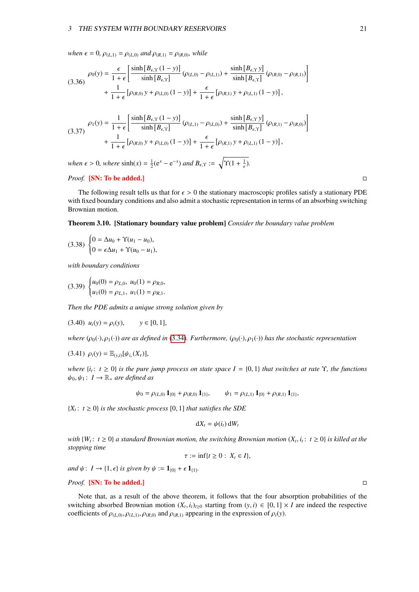#### 3 THE SYSTEM WITH BOUNDARY RESERVOIRS 21

*when*  $\epsilon = 0$ *,*  $\rho_{(L,1)} = \rho_{(L,0)}$  *and*  $\rho_{(R,1)} = \rho_{(R,0)}$ *, while* 

$$
(3.36)\quad \rho_0(y) = \frac{\epsilon}{1+\epsilon} \left[ \frac{\sinh[B_{\epsilon,\Upsilon}(1-y)]}{\sinh[B_{\epsilon,\Upsilon}]} (\rho_{(L,0)} - \rho_{(L,1)}) + \frac{\sinh[B_{\epsilon,\Upsilon} y]}{\sinh[B_{\epsilon,\Upsilon}]} (\rho_{(R,0)} - \rho_{(R,1)}) \right] + \frac{1}{1+\epsilon} [\rho_{(R,0)} y + \rho_{(L,0)} (1-y)] + \frac{\epsilon}{1+\epsilon} [\rho_{(R,1)} y + \rho_{(L,1)} (1-y)],
$$

<span id="page-21-1"></span>
$$
(3.37) \quad \rho_1(y) = \frac{1}{1+\epsilon} \left[ \frac{\sinh [B_{\epsilon,\Upsilon}(1-y)]}{\sinh [B_{\epsilon,\Upsilon}]} (\rho_{(L,1)} - \rho_{(L,0)}) + \frac{\sinh [B_{\epsilon,\Upsilon} y]}{\sinh [B_{\epsilon,\Upsilon}]} (\rho_{(R,1)} - \rho_{(R,0)}) \right] + \frac{1}{1+\epsilon} [\rho_{(R,0)} y + \rho_{(L,0)} (1-y)] + \frac{\epsilon}{1+\epsilon} [\rho_{(R,1)} y + \rho_{(L,1)} (1-y)],
$$

*when*  $\epsilon > 0$ *, where*  $\sinh(x) = \frac{1}{2}(e^x - e^{-x})$  *and*  $B_{\epsilon, \Upsilon} := \sqrt{\Upsilon(1 + \frac{1}{\epsilon})}$  $\frac{1}{\epsilon}$ ).

### *Proof.* [SN: To be added.] □

The following result tells us that for  $\epsilon > 0$  the stationary macroscopic profiles satisfy a stationary PDE with fixed boundary conditions and also admit a stochastic representation in terms of an absorbing switching Brownian motion.

#### <span id="page-21-0"></span>Theorem 3.10. [Stationary boundary value problem] *Consider the boundary value problem*

$$
(3.38)\begin{cases}0 = \Delta u_0 + \Upsilon(u_1 - u_0),\\0 = \epsilon \Delta u_1 + \Upsilon(u_0 - u_1),\end{cases}
$$

*with boundary conditions*

$$
(3.39) \begin{cases} u_0(0) = \rho_{L,0}, u_0(1) = \rho_{R,0}, \\ u_1(0) = \rho_{L,1}, u_1(1) = \rho_{R,1}. \end{cases}
$$

*Then the PDE admits a unique strong solution given by*

$$
(3.40) \ u_i(y) = \rho_i(y), \qquad y \in [0, 1],
$$

*where*  $(\rho_0(\cdot), \rho_1(\cdot))$  *are as defined in* [\(3.34\)](#page-20-1)*. Furthermore,*  $(\rho_0(\cdot), \rho_1(\cdot))$  *has the stochastic representation* 

$$
(3.41)\ \rho_i(y) = \mathbb{E}_{(y,i)}[\psi_{i_\tau}(X_\tau)],
$$

*where*  $\{i_t: t \geq 0\}$  *is the pure jump process on state space*  $I = \{0, 1\}$  *that switches at rate*  $\Upsilon$ *, the functions*  $\psi_0, \psi_1 \colon I \to \mathbb{R}_+$  *are defined as* 

$$
\psi_0 = \rho_{(L,0)} \mathbf{1}_{\{0\}} + \rho_{(R,0)} \mathbf{1}_{\{1\}}, \qquad \psi_1 = \rho_{(L,1)} \mathbf{1}_{\{0\}} + \rho_{(R,1)} \mathbf{1}_{\{1\}},
$$

 ${X_t: t \geq 0}$  *is the stochastic process* [0, 1] *that satisfies the SDE* 

$$
dX_t = \psi(i_t) dW_t
$$

*with*  $\{W_t: t \geq 0\}$  *a standard Brownian motion, the switching Brownian motion*  $(X_t, i_t: t \geq 0)$  *is killed at the*<br>*stopping time stopping time*

$$
\tau := \inf\{t \geq 0: X_t \in I\},\
$$

*and*  $\psi$ :  $I \rightarrow \{1, \epsilon\}$  *is given by*  $\psi := \mathbf{1}_{\{0\}} + \epsilon \mathbf{1}_{\{1\}}$ *.* 

### *Proof.* [SN: To be added.]

Note that, as a result of the above theorem, it follows that the four absorption probabilities of the switching absorbed Brownian motion  $(X_t, i_t)_{t \ge 0}$  starting from  $(y, i) \in [0, 1] \times I$  are indeed the respective coefficients of  $\alpha(x) \approx \alpha(x)$ ,  $\alpha(x)$  and  $\alpha(x)$  appearing in the expression of  $\alpha(y)$ coefficients of  $\rho_{(L,0)}, \rho_{(L,1)}, \rho_{(R,0)}$  and  $\rho_{(R,1)}$  appearing in the expression of  $\rho_i(y)$ .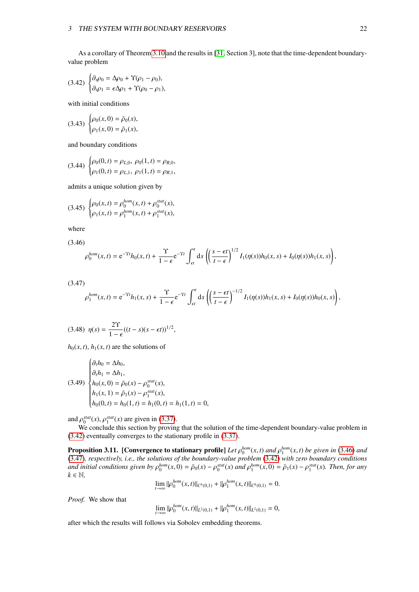<span id="page-22-0"></span>As a corollary of Theorem [3.10](#page-21-0) and the results in [\[31,](#page-33-9) Section 3], note that the time-dependent boundaryvalue problem

$$
(3.42)\ \begin{cases} \partial_t \rho_0 = \Delta \rho_0 + \Upsilon(\rho_1 - \rho_0), \\ \partial_t \rho_1 = \epsilon \Delta \rho_1 + \Upsilon(\rho_0 - \rho_1), \end{cases}
$$

with initial conditions

$$
(3.43)\ \begin{cases} \rho_0(x,0) = \bar{\rho}_0(x), \\ \rho_1(x,0) = \bar{\rho}_1(x), \end{cases}
$$

and boundary conditions

$$
(3.44) \begin{cases} \rho_0(0,t) = \rho_{L,0}, \ \rho_0(1,t) = \rho_{R,0}, \\ \rho_1(0,t) = \rho_{L,1}, \ \rho_1(1,t) = \rho_{R,1}, \end{cases}
$$

admits a unique solution given by

$$
(3.45)\ \begin{cases} \rho_0(x,t) = \rho_0^{hom}(x,t) + \rho_0^{stat}(x), \\ \rho_1(x,t) = \rho_1^{hom}(x,t) + \rho_1^{stat}(x), \end{cases}
$$

where

<span id="page-22-1"></span>
$$
(3.46)
$$

$$
\rho_0^{hom}(x,t) = e^{-\Upsilon t}h_0(x,t) + \frac{\Upsilon}{1-\epsilon}e^{-\Upsilon t}\int_{\epsilon t}^t ds \left(\left(\frac{s-\epsilon t}{t-\epsilon}\right)^{1/2}I_1(\eta(s))h_0(x,s) + I_0(\eta(s))h_1(x,s)\right),
$$

<span id="page-22-2"></span>(3.47)

$$
\rho_1^{hom}(x,t) = e^{-\Upsilon t} h_1(x,s) + \frac{\Upsilon}{1-\epsilon} e^{-\Upsilon t} \int_{\epsilon t}^t ds \left( \left( \frac{s-\epsilon t}{t-\epsilon} \right)^{-1/2} I_1(\eta(s)) h_1(x,s) + I_0(\eta(s)) h_0(x,s) \right),
$$

$$
(3.48) \ \eta(s) = \frac{2\Upsilon}{1-\epsilon}((t-s)(s-\epsilon t))^{1/2},
$$

 $h_0(x, t)$ ,  $h_1(x, t)$  are the solutions of

 $\overline{\phantom{a}}$ 

$$
(3.49) \begin{cases} \n\partial_t h_0 = \Delta h_0, \\ \n\partial_t h_1 = \Delta h_1, \\ \nh_0(x, 0) = \bar{\rho}_0(x) - \rho_0^{stat}(x), \\ \nh_1(x, 1) = \bar{\rho}_1(x) - \rho_1^{stat}(x), \\ \nh_0(0, t) = h_0(1, t) = h_1(0, t) = h_1(1, t) = 0, \n\end{cases}
$$

and  $\rho_0^{stat}(x)$ ,  $\rho_1^{stat}(x)$  are given in [\(3.37\)](#page-21-1).<br>We conclude this section by provinci

We conclude this section by proving that the solution of the time-dependent boundary-value problem in [\(3.42\)](#page-22-0) eventually converges to the stationary profile in [\(3.37\)](#page-21-1).

**Proposition 3.11.** [Convergence to stationary profile] Let  $\rho_0^{hom}(x, t)$  and  $\rho_1^{hom}(x, t)$  be given in [\(3.46\)](#page-22-1) and (3.46) and (3.47) respectively *i.e.* the solutions of the boundary value problem (3.42) with zero boundar [\(3.47\)](#page-22-2)*, respectively, i.e., the solutions of the boundary-value problem* [\(3.42\)](#page-22-0) *with zero boundary conditions* and initial conditions given by  $\rho_0^{hom}(x,0) = \bar{\rho}_0(x) - \rho_0^{stat}(x)$  and  $\rho_1^{hom}(x,0) = \bar{\rho}_1(x) - \rho_1^{stat}(x)$ . Then, for any  $k \in \mathbb{N}$  $k \in \mathbb{N}$ ,

$$
\lim_{t \to \infty} ||\rho_0^{hom}(x,t)||_{C^k(0,1)} + ||\rho_1^{hom}(x,t)||_{C^k(0,1)} = 0.
$$

*Proof.* We show that

$$
\lim_{t \to \infty} ||\rho_0^{hom}(x,t)||_{L^2(0,1)} + ||\rho_1^{hom}(x,t)||_{L^2(0,1)} = 0,
$$

after which the results will follows via Sobolev embedding theorems.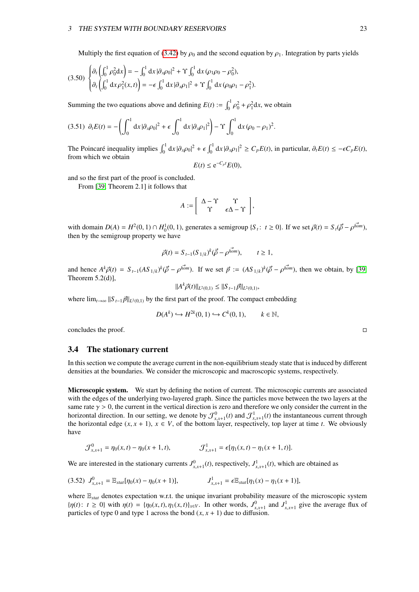#### 3 THE SYSTEM WITH BOUNDARY RESERVOIRS 23

Multiply the first equation of [\(3.42\)](#page-22-0) by  $\rho_0$  and the second equation by  $\rho_1$ . Integration by parts yields

$$
(3.50)\ \begin{cases} \partial_t \left( \int_0^1 \rho_0^2 \mathrm{d}x \right) = -\int_0^1 \mathrm{d}x \, |\partial_x \rho_0|^2 + \Upsilon \int_0^1 \mathrm{d}x \, (\rho_1 \rho_0 - \rho_0^2), \\ \partial_t \left( \int_0^1 \mathrm{d}x \, \rho_1^2(x, t) \right) = -\epsilon \int_0^1 \mathrm{d}x \, |\partial_x \rho_1|^2 + \Upsilon \int_0^1 \mathrm{d}x \, (\rho_0 \rho_1 - \rho_1^2). \end{cases}
$$

Summing the two equations above and defining  $E(t) := \int_0^1 \rho$  $\partial_0^2 + \rho_1^2 dx$ , we obtain

$$
(3.51)\ \partial_t E(t) = -\left(\int_0^1 dx \, |\partial_x \rho_0|^2 + \epsilon \int_0^1 dx \, |\partial_x \rho_1|^2\right) - \Upsilon \int_0^1 dx \, (\rho_0 - \rho_1)^2.
$$

The Poincaré inequality implies  $\int_0^1 dx |\partial_x \rho_0|^2 + \epsilon \int_0^1 dx |\partial_x \rho_1|^2 \ge C_p E(t)$ , in particular,  $\partial_t E(t) \le -\epsilon C_p E(t)$ , from which we obtain from which we obtain

$$
E(t) \le e^{-C_p t} E(0),
$$

and so the first part of the proof is concluded.

From [\[39,](#page-34-5) Theorem 2.1] it follows that

$$
A := \left[ \begin{array}{cc} \Delta - \Upsilon & \Upsilon \\ \Upsilon & \epsilon \Delta - \Upsilon \end{array} \right],
$$

with domain  $D(A) = H^2(0, 1) \cap H_0^1(0, 1)$ , generates a semigroup  $\{S_t: t \ge 0\}$ . If we set  $\vec{\rho}(t) = S_t(\vec{\rho} - \rho^{\text{hom}})$ , then by the semigroup property we have then by the semigroup property we have

$$
\vec{\rho}(t) = S_{t-1}(S_{1/k})^k(\vec{\rho} - \rho^{\vec{hom}}), \qquad t \ge 1,
$$

and hence  $A^k \vec{\rho}(t) = S_{t-1} (AS_{1/k})^k (\vec{\rho} - \rho^{\overline{hom}})$ . If we set  $\vec{p} := (AS_{1/k})^k (\vec{\rho} - \rho^{\overline{hom}})$ , then we obtain, by [\[39,](#page-34-5) Theorem 5.2(d)],

$$
||Ak \vec{\rho}(t)||_{L^2(0,1)} \leq ||S_{t-1} \vec{p}||_{L^2(0,1)},
$$

where  $\lim_{t\to\infty}$   $||S_{t-1}\vec{p}||_{L^2(0,1)}$  by the first part of the proof. The compact embedding

$$
D(A^k) \hookrightarrow H^{2k}(0,1) \hookrightarrow C^k(0,1), \qquad k \in \mathbb{N},
$$

concludes the proof.

#### <span id="page-23-0"></span>3.4 The stationary current

In this section we compute the average current in the non-equilibrium steady state that is induced by different densities at the boundaries. We consider the microscopic and macroscopic systems, respectively.

Microscopic system. We start by defining the notion of current. The microscopic currents are associated with the edges of the underlying two-layered graph. Since the particles move between the two layers at the same rate  $\gamma > 0$ , the current in the vertical direction is zero and therefore we only consider the current in the horizontal direction. In our setting, we denote by  $\mathcal{J}_{x,x+1}^0(t)$  and  $\mathcal{J}_{x,x+1}^1(t)$  the instantaneous current through<br>the horizontal edge  $(x, x+1)$ ,  $x \in V$  of the bottom layer, respectively, top layer at time t. We the horizontal edge  $(x, x + 1)$ ,  $x \in V$ , of the bottom layer, respectively, top layer at time *t*. We obviously have

$$
\mathcal{J}_{x,x+1}^0 = \eta_0(x,t) - \eta_0(x+1,t), \qquad \qquad \mathcal{J}_{x,x+1}^1 = \epsilon[\eta_1(x,t) - \eta_1(x+1,t)].
$$

We are interested in the stationary currents  $J^0_{x,x+1}(t)$ , respectively,  $J^1_{x,x+1}(t)$ , which are obtained as

$$
(3.52) \ J_{x,x+1}^0 = \mathbb{E}_{\text{stat}}[\eta_0(x) - \eta_0(x+1)], \qquad \qquad J_{x,x+1}^1 = \epsilon \mathbb{E}_{\text{stat}}[\eta_1(x) - \eta_1(x+1)],
$$

where E*stat* denotes expectation w.r.t. the unique invariant probability measure of the microscopic system  $\{\eta(t): t \geq 0\}$  with  $\eta(t) = \{\eta_0(x, t), \eta_1(x, t)\}_{x \in V}$ . In other words,  $J_{x, x+1}^0$  and  $J_{x, x+1}^1$  give the average flux of particles of type 0 and type 1 across the bond  $(x, x + 1)$  due to diffusion particles of type 0 and type 1 across the bond  $(x, x + 1)$  due to diffusion.

<span id="page-23-1"></span>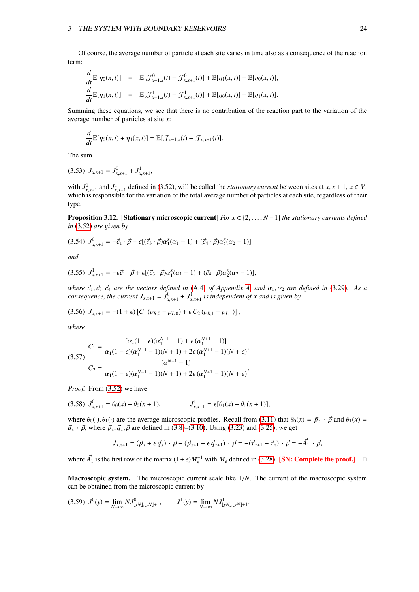Of course, the average number of particle at each site varies in time also as a consequence of the reaction term:

$$
\frac{d}{dt} \mathbb{E}[\eta_0(x,t)] = \mathbb{E}[\mathcal{J}_{x-1,x}^0(t) - \mathcal{J}_{x,x+1}^0(t)] + \mathbb{E}[\eta_1(x,t)] - \mathbb{E}[\eta_0(x,t)],
$$
  

$$
\frac{d}{dt} \mathbb{E}[\eta_1(x,t)] = \mathbb{E}[\mathcal{J}_{x-1,x}^1(t) - \mathcal{J}_{x,x+1}^1(t)] + \mathbb{E}[\eta_0(x,t)] - \mathbb{E}[\eta_1(x,t)].
$$

Summing these equations, we see that there is no contribution of the reaction part to the variation of the average number of particles at site *x*:

$$
\frac{d}{dt}\mathbb{E}[\eta_0(x,t)+\eta_1(x,t)]=\mathbb{E}[\mathcal{J}_{x-1,x}(t)-\mathcal{J}_{x,x+1}(t)].
$$

The sum

$$
(3.53) J_{x,x+1} = J_{x,x+1}^0 + J_{x,x+1}^1,
$$

with  $J_{x,x+1}^0$  and  $J_{x,x+1}^1$  defined in [\(3.52\)](#page-23-1), will be called the *stationary current* between sites at *x*, *x* + 1, *x* ∈ *V*, which is responsible for the variation of the total average number of particles at each which is responsible for the variation of the total average number of particles at each site, regardless of their which is responsible for the variation of the total average number of particles at each site, regardless of type.

Proposition 3.12. [Stationary microscopic current] *For x* ∈ {2, . . . , *<sup>N</sup>* <sup>−</sup>1} *the stationary currents defined in* [\(3.52\)](#page-23-1) *are given by*

$$
(3.54) \ J_{x,x+1}^0 = -\vec{c}_1 \cdot \vec{\rho} - \epsilon [(\vec{c}_3 \cdot \vec{\rho}) \alpha_1^x (\alpha_1 - 1) + (\vec{c}_4 \cdot \vec{\rho}) \alpha_2^x (\alpha_2 - 1)]
$$

*and*

$$
(3.55) \ J_{x,x+1}^1 = -\epsilon \vec{c}_1 \cdot \vec{\rho} + \epsilon [(\vec{c}_3 \cdot \vec{\rho}) \alpha_1^x (\alpha_1 - 1) + (\vec{c}_4 \cdot \vec{\rho}) \alpha_2^x (\alpha_2 - 1)],
$$

*where*  $\vec{c}_1$ ,  $\vec{c}_3$ ,  $\vec{c}_4$  *are the vectors defined in* [\(A.4\)](#page-30-3) *of Appendix [A,](#page-30-0) and*  $\alpha_1$ ,  $\alpha_2$  *are defined in* [\(3.29\)](#page-19-0). As a *consequence, the current*  $J_{x,x+1} = J^0_{x,x+1} + J^1_{x,x+1}$  *is independent of x and is given by* 

$$
(3.56) J_{x,x+1} = -(1+\epsilon) [C_1 (\rho_{R,0} - \rho_{L,0}) + \epsilon C_2 (\rho_{R,1} - \rho_{L,1})],
$$

*where*

$$
(3.57) \quad\n\begin{aligned}\nC_1 &= \frac{\left[\alpha_1(1-\epsilon)(\alpha_1^{N-1}-1) + \epsilon(\alpha_1^{N+1}-1)\right]}{\alpha_1(1-\epsilon)(\alpha_1^{N-1}-1)(N+1) + 2\epsilon(\alpha_1^{N+1}-1)(N+\epsilon)}, \\
C_2 &= \frac{(\alpha_1^{N+1}-1)}{\alpha_1(1-\epsilon)(\alpha_1^{N-1}-1)(N+1) + 2\epsilon(\alpha_1^{N+1}-1)(N+\epsilon)}.\n\end{aligned}
$$

*Proof.* From [\(3.52\)](#page-23-1) we have

$$
(3.58) \ J_{x,x+1}^0 = \theta_0(x) - \theta_0(x+1), \qquad J_{x,x+1}^1 = \epsilon[\theta_1(x) - \theta_1(x+1)],
$$

where  $\theta_0(\cdot), \theta_1(\cdot)$  are the average microscopic profiles. Recall from [\(3.11\)](#page-16-8) that  $\theta_0(x) = \vec{p}_x \cdot \vec{\rho}$  and  $\theta_1(x) =$  $\vec{q}_x \cdot \vec{\rho}$ , where  $\vec{p}_x, \vec{q}_x, \vec{\rho}$  are defined in [\(3.8\)](#page-16-3)–[\(3.10\)](#page-16-4). Using [\(3.23\)](#page-19-1) and [\(3.25\)](#page-19-2), we get

<span id="page-24-0"></span>
$$
J_{x,x+1} = (\vec{p}_x + \epsilon \vec{q}_x) \cdot \vec{\rho} - (\vec{p}_{x+1} + \epsilon \vec{q}_{x+1}) \cdot \vec{\rho} = -(\vec{\tau}_{x+1} - \vec{\tau}_x) \cdot \vec{\rho} = -\vec{A}_1 \cdot \vec{\rho},
$$

where  $\vec{A_1}$  is the first row of the matrix  $(1+\epsilon)M_{\epsilon}^{-1}$  with  $M_{\epsilon}$  defined in [\(3.28\)](#page-19-3). [SN: Complete the proof.] □

Macroscopic system. The microscopic current scale like  $1/N$ . The current of the macroscopic system can be obtained from the microscopic current by

$$
(3.59) \ J^{0}(y) = \lim_{N \to \infty} N J^{0}_{\lfloor yN \rfloor, \lfloor yN \rfloor + 1}, \qquad J^{1}(y) = \lim_{N \to \infty} N J^{1}_{\lfloor yN \rfloor, \lfloor yN \rfloor + 1}.
$$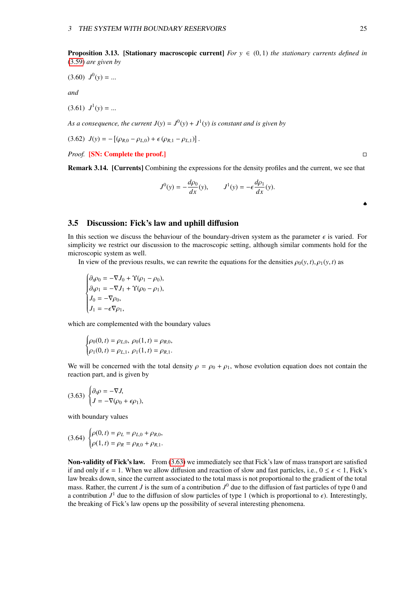$$
(3.60) \, J^0(y) = \dots
$$

*and*

 $(3.61)$   $J^1(y) = ...$ 

As a consequence, the current  $J(y) = J^0(y) + J^1(y)$  is constant and is given by

 $(3.62) \ J(y) = -[(\rho_{R,0} - \rho_{L,0}) + \epsilon (\rho_{R,1} - \rho_{L,1})].$ 

*Proof.* [SN: Complete the proof.] □

Remark 3.14. [Currents] Combining the expressions for the density profiles and the current, we see that

$$
J^{0}(y) = -\frac{d\rho_{0}}{dx}(y), \qquad J^{1}(y) = -\epsilon \frac{d\rho_{1}}{dx}(y).
$$

# <span id="page-25-0"></span>3.5 Discussion: Fick's law and uphill diffusion

In this section we discuss the behaviour of the boundary-driven system as the parameter  $\epsilon$  is varied. For simplicity we restrict our discussion to the macroscopic setting, although similar comments hold for the microscopic system as well.

In view of the previous results, we can rewrite the equations for the densities  $\rho_0(y, t)$ ,  $\rho_1(y, t)$  as

$$
\begin{cases}\n\partial_t \rho_0 = -\nabla J_0 + \Upsilon (\rho_1 - \rho_0), \\
\partial_t \rho_1 = -\nabla J_1 + \Upsilon (\rho_0 - \rho_1), \\
J_0 = -\nabla \rho_0, \\
J_1 = -\epsilon \nabla \rho_1,\n\end{cases}
$$

which are complemented with the boundary values

<span id="page-25-1"></span>
$$
\begin{cases} \rho_0(0,t) = \rho_{L,0}, \ \rho_0(1,t) = \rho_{R,0}, \\ \rho_1(0,t) = \rho_{L,1}, \ \rho_1(1,t) = \rho_{R,1}. \end{cases}
$$

We will be concerned with the total density  $\rho = \rho_0 + \rho_1$ , whose evolution equation does not contain the reaction part, and is given by

$$
(3.63)\begin{cases} \partial_t \rho = -\nabla J, \\ J = -\nabla(\rho_0 + \epsilon \rho_1), \end{cases}
$$

with boundary values

$$
(3.64) \begin{cases} \rho(0,t) = \rho_L = \rho_{L,0} + \rho_{R,0}, \\ \rho(1,t) = \rho_R = \rho_{R,0} + \rho_{R,1}. \end{cases}
$$

Non-validity of Fick's law. From [\(3.63\)](#page-25-1) we immediately see that Fick's law of mass transport are satisfied if and only if  $\epsilon = 1$ . When we allow diffusion and reaction of slow and fast particles, i.e.,  $0 \le \epsilon < 1$ , Fick's law breaks down, since the current associated to the total mass is not proportional to the gradient of the total mass. Rather, the current *J* is the sum of a contribution  $J^0$  due to the diffusion of fast particles of type 0 and a contribution  $J^1$  due to the diffusion of slow particles of type 1 (which is proportional to  $\epsilon$ ). Interestingly, the breaking of Fick's law opens up the possibility of several interesting phenomena the breaking of Fick's law opens up the possibility of several interesting phenomena.

<span id="page-25-2"></span>

♠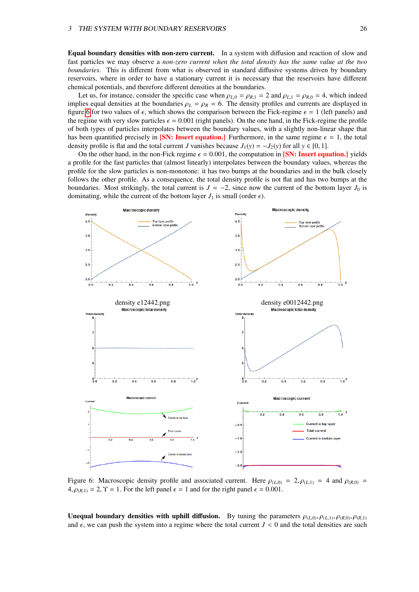Equal boundary densities with non-zero current. In a system with diffusion and reaction of slow and fast particles we may observe a *non-zero current when the total density has the same value at the two boundaries*. This is different from what is observed in standard diffusive systems driven by boundary reservoirs, where in order to have a stationary current it is necessary that the reservoirs have different chemical potentials, and therefore different densities at the boundaries.

Let us, for instance, consider the specific case when  $\rho_{L,0} = \rho_{R,1} = 2$  and  $\rho_{L,1} = \rho_{R,0} = 4$ , which indeed implies equal densities at the boundaries  $\rho_L = \rho_R = 6$ . The density profiles and currents are displayed in figure [6](#page-26-0) for two values of  $\epsilon$ , which shows the comparison between the Fick-regime  $\epsilon = 1$  (left panels) and the regime with very slow particles  $\epsilon = 0.001$  (right panels). On the one hand, in the Fick-regime the profile of both types of particles interpolates between the boundary values, with a slightly non-linear shape that has been quantified precisely in [SN: Insert equation.] Furthermore, in the same regime  $\epsilon = 1$ , the total density profile is flat and the total current *J* vanishes because  $J_1(y) = -J_2(y)$  for all  $y \in [0, 1]$ .

On the other hand, in the non-Fick regime  $\epsilon = 0.001$ , the computation in [SN: Insert equation.] yields a profile for the fast particles that (almost linearly) interpolates between the boundary values, whereas the profile for the slow particles is non-monotone: it has two bumps at the boundaries and in the bulk closely follows the other profile. As a consequence, the total density profile is not flat and has two bumps at the boundaries. Most strikingly, the total current is  $J = -2$ , since now the current of the bottom layer  $J_0$  is dominating, while the current of the bottom layer  $J_1$  is small (order  $\epsilon$ ).

<span id="page-26-0"></span>

Figure 6: Macroscopic density profile and associated current. Here  $\rho_{(L,0)} = 2$ ,  $\rho_{(L,1)} = 4$  and  $\rho_{(R,0)} =$  $4, \rho_{(R,1)} = 2, \Upsilon = 1$ . For the left panel  $\epsilon = 1$  and for the right panel  $\epsilon = 0.001$ .

**Unequal boundary densities with uphill diffusion.** By tuning the parameters  $\rho_{(L,0)}, \rho_{(L,1)}, \rho_{(R,0)}, \rho_{(R,1)}$ and  $\epsilon$ , we can push the system into a regime where the total current  $J < 0$  and the total densities are such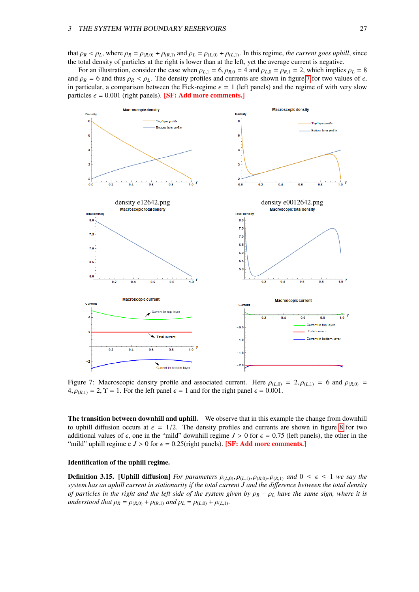that  $\rho_R < \rho_L$ , where  $\rho_R = \rho_{(R,0)} + \rho_{(R,1)}$  and  $\rho_L = \rho_{(L,0)} + \rho_{(L,1)}$ . In this regime, *the current goes uphill*, since the total density of particles at the right is lower than at the left, yet the average current is negative.

For an illustration, consider the case when  $\rho_{L,1} = 6$ ,  $\rho_{R,0} = 4$  and  $\rho_{L,0} = \rho_{R,1} = 2$ , which implies  $\rho_L = 8$ and  $\rho_R$  = 6 and thus  $\rho_R$  <  $\rho_L$ . The density profiles and currents are shown in figure [7](#page-27-0) for two values of  $\epsilon$ , in particular, a comparison between the Fick-regime  $\epsilon = 1$  (left panels) and the regime of with very slow particles  $\epsilon = 0.001$  (right panels). **[SF: Add more comments.]** 

<span id="page-27-0"></span>

Figure 7: Macroscopic density profile and associated current. Here  $\rho_{(L,0)} = 2$ ,  $\rho_{(L,1)} = 6$  and  $\rho_{(R,0)} =$  $4, \rho_{(R,1)} = 2, \Upsilon = 1$ . For the left panel  $\epsilon = 1$  and for the right panel  $\epsilon = 0.001$ .

The transition between downhill and uphill. We observe that in this example the change from downhill to uphill diffusion occurs at  $\epsilon = 1/2$ . The density profiles and currents are shown in figure [8](#page-28-0) for two additional values of  $\epsilon$ , one in the "mild" downhill regime  $J > 0$  for  $\epsilon = 0.75$  (left panels), the other in the "mild" uphill regime e  $J > 0$  for  $\epsilon = 0.25$  (right panels). **[SF: Add more comments.**]

#### Identification of the uphill regime.

**Definition 3.15.** [Uphill diffusion] *For parameters*  $\rho_{(L,0)}, \rho_{(L,1)}, \rho_{(R,0)}, \rho_{(R,1)}$  *and*  $0 \le \epsilon \le 1$  *we say the system has an uphill current in stationarity if the total current J and the di*ff*erence between the total density of particles in the right and the left side of the system given by*  $ρ<sub>R</sub> − ρ<sub>L</sub>$  *have the same sign, where it is understood that*  $\rho_R = \rho_{(R,0)} + \rho_{(R,1)}$  *and*  $\rho_L = \rho_{(L,0)} + \rho_{(L,1)}$ *.*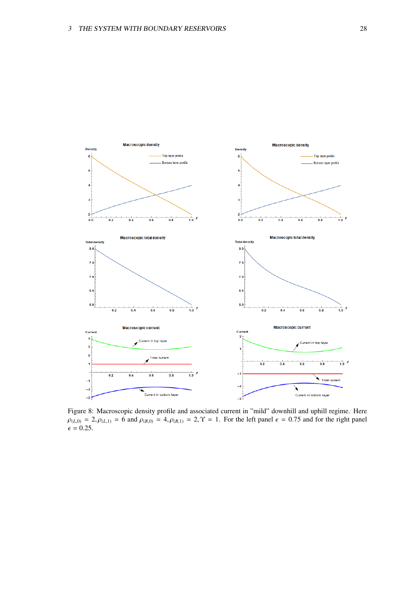<span id="page-28-0"></span>

Figure 8: Macroscopic density profile and associated current in "mild" downhill and uphill regime. Here  $\rho_{(L,0)} = 2, \rho_{(L,1)} = 6$  and  $\rho_{(R,0)} = 4, \rho_{(R,1)} = 2, \Upsilon = 1$ . For the left panel  $\epsilon = 0.75$  and for the right panel  $\epsilon = 0.25$ .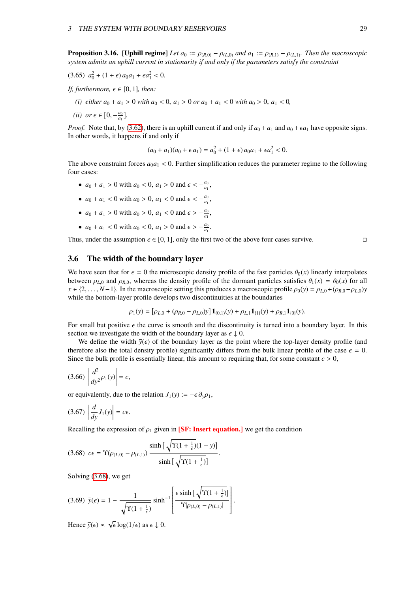**Proposition 3.16.** [Uphill regime] Let  $a_0 := \rho_{(R,0)} - \rho_{(L,0)}$  and  $a_1 := \rho_{(R,1)} - \rho_{(L,1)}$ *. Then the macroscopic system admits an uphill current in stationarity if and only if the parameters satisfy the constraint*

$$
(3.65) \ \ a_0^2 + (1+\epsilon) \, a_0 a_1 + \epsilon a_1^2 < 0.
$$

- *If, furthermore,*  $\epsilon \in [0, 1]$ *, then:* 
	- *(i) either*  $a_0 + a_1 > 0$  *with*  $a_0 < 0$ ,  $a_1 > 0$  *or*  $a_0 + a_1 < 0$  *with*  $a_0 > 0$ ,  $a_1 < 0$ ,
	- *(ii) or*  $\epsilon \in [0, -\frac{a_0}{a_1}].$

*Proof.* Note that, by [\(3.62\)](#page-25-2), there is an uphill current if and only if  $a_0 + a_1$  and  $a_0 + \epsilon a_1$  have opposite signs. In other words, it happens if and only if

$$
(a_0 + a_1)(a_0 + \epsilon a_1) = a_0^2 + (1 + \epsilon) a_0 a_1 + \epsilon a_1^2 < 0.
$$

The above constraint forces  $a_0a_1 < 0$ . Further simplification reduces the parameter regime to the following four cases:

- $a_0 + a_1 > 0$  with  $a_0 < 0$ ,  $a_1 > 0$  and  $\epsilon < -\frac{a_0}{a_1}$ ,
- $a_0 + a_1 < 0$  with  $a_0 > 0$ ,  $a_1 < 0$  and  $\epsilon < -\frac{a_0}{a_1}$ ,
- $a_0 + a_1 > 0$  with  $a_0 > 0$ ,  $a_1 < 0$  and  $\epsilon > -\frac{a_0}{a_1}$ ,
- $a_0 + a_1 < 0$  with  $a_0 < 0$ ,  $a_1 > 0$  and  $\epsilon > -\frac{a_0}{a_1}$ .

Thus, under the assumption  $\epsilon \in [0, 1]$ , only the first two of the above four cases survive.

# <span id="page-29-0"></span>3.6 The width of the boundary layer

We have seen that for  $\epsilon = 0$  the microscopic density profile of the fast particles  $\theta_0(x)$  linearly interpolates between  $\rho_{L,0}$  and  $\rho_{R,0}$ , whereas the density profile of the dormant particles satisfies  $\theta_1(x) = \theta_0(x)$  for all  $x \in \{2, \ldots, N-1\}$ . In the macroscopic setting this produces a macroscopic profile  $\rho_0(y) = \rho_{L0} + (\rho_{R0} - \rho_{L0})y$ while the bottom-layer profile develops two discontinuities at the boundaries

<span id="page-29-1"></span>
$$
\rho_1(y) = [\rho_{L,0} + (\rho_{R,0} - \rho_{L,0})y] \mathbf{1}_{(0,1)}(y) + \rho_{L,1} \mathbf{1}_{\{1\}}(y) + \rho_{R,1} \mathbf{1}_{\{0\}}(y).
$$

For small but positive  $\epsilon$  the curve is smooth and the discontinuity is turned into a boundary layer. In this section we investigate the width of the boundary layer as  $\epsilon \downarrow 0$ .

We define the width  $\bar{y}(\epsilon)$  of the boundary layer as the point where the top-layer density profile (and therefore also the total density profile) significantly differs from the bulk linear profile of the case  $\epsilon = 0$ . Since the bulk profile is essentially linear, this amount to requiring that, for some constant  $c > 0$ ,

$$
(3.66)\left|\frac{d^2}{dy^2}\rho_1(y)\right|=c,
$$

or equivalently, due to the relation  $J_1(y) := -\epsilon \partial_y \rho_1$ ,

$$
(3.67)\ \left|\frac{d}{dy}J_1(y)\right|=c\epsilon.
$$

Recalling the expression of  $\rho_1$  given in **[SF: Insert equation.]** we get the condition

$$
(3.68) \ \ c\epsilon = \Upsilon(\rho_{(L,0)} - \rho_{(L,1)}) \frac{\sinh\left[\sqrt{\Upsilon(1 + \frac{1}{\epsilon})(1 - y)}\right]}{\sinh\left[\sqrt{\Upsilon(1 + \frac{1}{\epsilon})}\right]}.
$$

Solving [\(3.68\)](#page-29-1), we get

$$
(3.69) \ \ \bar{y}(\epsilon) = 1 - \frac{1}{\sqrt{\Upsilon(1 + \frac{1}{\epsilon})}} \sinh^{-1} \left[ \frac{\epsilon \sinh\left[\sqrt{\Upsilon(1 + \frac{1}{\epsilon})}\right]}{\Upsilon|\rho_{(L,0)} - \rho_{(L,1)}|} \right]
$$

Hence  $\bar{y}(\epsilon) \asymp \sqrt{\epsilon} \log(1/\epsilon)$  as  $\epsilon \downarrow 0$ .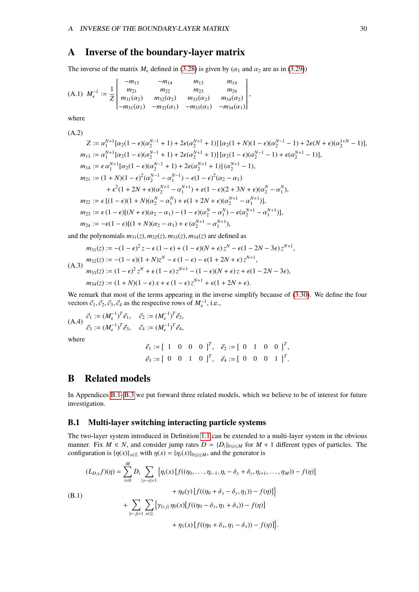# <span id="page-30-0"></span>A Inverse of the boundary-layer matrix

The inverse of the matrix  $M<sub>f</sub>$  defined in [\(3.28\)](#page-19-3) is given by ( $\alpha_1$  and  $\alpha_2$  are as in [\(3.29\)](#page-19-0))

(A.1) 
$$
M_{\epsilon}^{-1} := \frac{1}{Z} \begin{bmatrix} -m_{13} & -m_{14} & m_{13} & m_{14} \\ m_{21} & m_{22} & m_{23} & m_{24} \\ m_{31}(\alpha_2) & m_{32}(\alpha_2) & m_{33}(\alpha_2) & m_{34}(\alpha_2) \\ -m_{31}(\alpha_1) & -m_{32}(\alpha_1) & -m_{33}(\alpha_1) & -m_{34}(\alpha_1) \end{bmatrix}
$$
,

where

(A.2)  
\n
$$
Z := \alpha_1^{N+1} [\alpha_2(1-\epsilon)(\alpha_2^{N-1}+1) + 2\epsilon(\alpha_2^{N+1}+1)] [\alpha_2(1+N)(1-\epsilon)(\alpha_2^{N-1}-1) + 2\epsilon(N+\epsilon)(\alpha_2^{1+N}-1)],
$$
\n
$$
m_{13} := \alpha_1^{N+1} [\alpha_2(1-\epsilon)(\alpha_2^{N-1}+1) + 2\epsilon(\alpha_2^{N+1}+1)] [\alpha_2(1-\epsilon)(\alpha_2^{N-1}-1) + \epsilon(\alpha_2^{N+1}-1)],
$$
\n
$$
m_{14} := \epsilon \alpha_1^{N+1} [\alpha_2(1-\epsilon)(\alpha_2^{N-1}+1) + 2\epsilon(\alpha_2^{N+1}+1)] (\alpha_2^{N+1}-1),
$$
\n
$$
m_{21} := (1+N)(1-\epsilon)^2 (\alpha_2^{N-1} - \alpha_1^{N-1}) - \epsilon(1-\epsilon)^2 (\alpha_2 - \alpha_1)
$$
\n
$$
+ \epsilon^2 (1+2N+\epsilon)(\alpha_2^{N+1} - \alpha_1^{N+1}) + \epsilon(1-\epsilon)(2+3N+\epsilon)(\alpha_2^{N} - \alpha_1^{N}),
$$
\n
$$
m_{22} := \epsilon [(1-\epsilon)(1+N)(\alpha_2^{N} - \alpha_1^{N}) + \epsilon(1+2N+\epsilon)(\alpha_2^{N+1} - \alpha_1^{N+1})],
$$
\n
$$
m_{23} := \epsilon (1-\epsilon)[(N+\epsilon)(\alpha_2 - \alpha_1) - (1-\epsilon)(\alpha_2^{N} - \alpha_1^{N}) - \epsilon(\alpha_2^{N+1} - \alpha_1^{N+1})],
$$
\n
$$
m_{24} := -\epsilon(1-\epsilon)[(1+N)(\alpha_2 - \alpha_1) + \epsilon(\alpha_2^{N+1} - \alpha_1^{N+1}),
$$

and the polynomials  $m_{31}(z)$ ,  $m_{32}(z)$ ,  $m_{33}(z)$ ,  $m_{34}(z)$  are defined as

$$
m_{31}(z) := -(1 - \epsilon)^2 z - \epsilon (1 - \epsilon) + (1 - \epsilon)(N + \epsilon) z^N - \epsilon (1 - 2N - 3\epsilon) z^{N+1},
$$
  
\n
$$
m_{32}(z) := -(1 - \epsilon)(1 + N)z^N - \epsilon (1 - \epsilon) - \epsilon (1 + 2N + \epsilon) z^{N+1},
$$
  
\n
$$
m_{33}(z) := (1 - \epsilon)^2 z^N + \epsilon (1 - \epsilon) z^{N+1} - (1 - \epsilon)(N + \epsilon) z + \epsilon (1 - 2N - 3\epsilon),
$$
  
\n
$$
m_{34}(z) := (1 + N)(1 - \epsilon) x + \epsilon (1 - \epsilon) z^{N+1} + \epsilon (1 + 2N + \epsilon).
$$

We remark that most of the terms appearing in the inverse simplify because of [\(3.30\)](#page-19-4). We define the four vectors  $\vec{c}_1$ ,  $\vec{c}_2$ ,  $\vec{c}_3$ ,  $\vec{c}_4$  as the respective rows of  $M_{\epsilon}^{-1}$ , i.e.,

(A.4) 
$$
\vec{c}_1 := (M_{\epsilon}^{-1})^T \vec{e}_1, \quad \vec{c}_2 := (M_{\epsilon}^{-1})^T \vec{e}_2,
$$
  
\n $\vec{c}_3 := (M_{\epsilon}^{-1})^T \vec{e}_3, \quad \vec{c}_4 := (M_{\epsilon}^{-1})^T \vec{e}_4,$ 

where

<span id="page-30-3"></span>
$$
\vec{e}_1 := [ 1 \ 0 \ 0 \ 0 \ ]^T, \quad \vec{e}_2 := [ 0 \ 1 \ 0 \ 0 \ ]^T, \n\vec{e}_3 := [ 0 \ 0 \ 1 \ 0 \ ]^T, \quad \vec{e}_4 := [ 0 \ 0 \ 0 \ 1 \ ]^T.
$$

# <span id="page-30-1"></span>B Related models

In Appendices [B.1–](#page-30-2)[B.3](#page-31-1) we put forward three related models, which we believe to be of interest for future investigation.

### <span id="page-30-2"></span>B.1 Multi-layer switching interacting particle systems

The two-layer system introduced in Definition [1.1](#page-4-3) can be extended to a multi-layer system in the obvious manner. Fix  $M \in N$ , and consider jump rates  $D = \{D_i\}_{0 \le i \le M}$  for  $M + 1$  different types of particles. The configuration is  $\{\eta(x)\}_{x \in \mathbb{Z}}$  with  $\eta(x) = \{\eta_i(x)\}_{0 \le i \le M}$ , and the generator is

$$
(L_{D,\gamma}f)(\eta) = \sum_{i=0}^{M} D_i \sum_{|x-y|=1} \left\{ \eta_i(x) \left[ f((\eta_0, ..., \eta_{i-1}, \eta_i - \delta_x + \delta_y, \eta_{i+1}, ..., \eta_M)) - f(\eta) \right] + \eta_0(y) \left[ f((\eta_0 + \delta_x - \delta_y, \eta_1)) - f(\eta) \right] \right\}
$$
\n(B.1)  
+ 
$$
\sum_{|i-j|=1} \sum_{x \in \mathbb{Z}} \left\{ \gamma_{\{i,j\}} \eta_0(x) \left[ f((\eta_0 - \delta_x, \eta_1 + \delta_x)) - f(\eta) \right] + \eta_1(x) \left[ f((\eta_0 + \delta_x, \eta_1 - \delta_x)) - f(\eta) \right] \right\}.
$$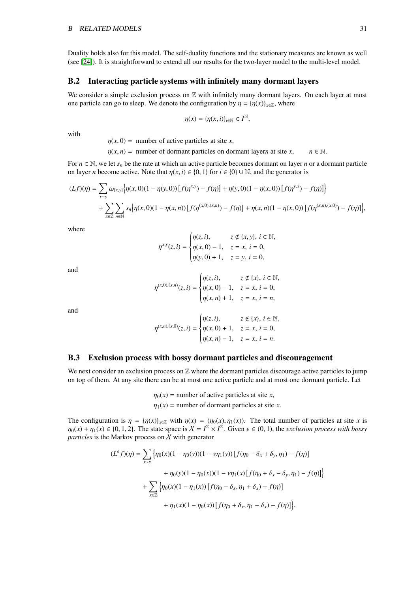Duality holds also for this model. The self-duality functions and the stationary measures are known as well (see [\[24\]](#page-33-19)). It is straightforward to extend all our results for the two-layer model to the multi-level model.

# <span id="page-31-0"></span>B.2 Interacting particle systems with infinitely many dormant layers

We consider a simple exclusion process on  $\mathbb Z$  with infinitely many dormant layers. On each layer at most one particle can go to sleep. We denote the configuration by  $\eta = {\eta(x)}_{x \in \mathbb{Z}}$ , where

$$
\eta(x) = \{\eta(x, i)\}_{i \in \mathbb{N}} \in I^{\mathbb{N}},
$$

with

 $\eta(x, 0)$  = number of active particles at site *x*,

 $\eta(x, n) =$  number of dormant particles on dormant layer*n* at site *x*,  $n \in \mathbb{N}$ .

For  $n \in \mathbb{N}$ , we let  $s_n$  be the rate at which an active particle becomes dormant on layer *n* or a dormant particle on layer *n* become active. Note that  $\eta(x, i) \in \{0, 1\}$  for  $i \in \{0\} \cup \mathbb{N}$ , and the generator is

$$
(Lf)(\eta) = \sum_{x \sim y} \omega_{\{x,y\}} \Big\{ \eta(x,0)(1 - \eta(y,0)) \left[ f(\eta^{x,y}) - f(\eta) \right] + \eta(y,0)(1 - \eta(x,0)) \left[ f(\eta^{y,x}) - f(\eta) \right] \Big\} + \sum_{x \in \mathbb{Z}} \sum_{n \in \mathbb{N}} s_n \Big\{ \eta(x,0)(1 - \eta(x,n)) \left[ f(\eta^{(x,0),(x,n)}) - f(\eta) \right] + \eta(x,n)(1 - \eta(x,0)) \left[ f(\eta^{(x,n),(x,0)}) - f(\eta) \right] \Big\},
$$

where

$$
\eta^{x,y}(z,i) = \begin{cases} \eta(z,i), & z \notin \{x,y\}, i \in \mathbb{N}, \\ \eta(x,0) - 1, & z = x, i = 0, \\ \eta(y,0) + 1, & z = y, i = 0, \end{cases}
$$

and

$$
\eta^{(x,0),(x,n)}(z,i) = \begin{cases} \eta(z,i), & z \notin \{x\}, i \in \mathbb{N}, \\ \eta(x,0)-1, & z=x, i=0, \\ \eta(x,n)+1, & z=x, i=n, \end{cases}
$$

and

$$
\eta^{(x,n),(x,0)}(z,i) = \begin{cases} \eta(z,i), & z \notin \{x\}, i \in \mathbb{N}, \\ \eta(x,0) + 1, & z = x, i = 0, \\ \eta(x,n) - 1, & z = x, i = n. \end{cases}
$$

### <span id="page-31-1"></span>B.3 Exclusion process with bossy dormant particles and discouragement

We next consider an exclusion process on  $Z$  where the dormant particles discourage active particles to jump on top of them. At any site there can be at most one active particle and at most one dormant particle. Let

> $\eta_0(x)$  = number of active particles at site *x*,  $\eta_1(x)$  = number of dormant particles at site *x*.

The configuration is  $\eta = {\eta(x)}_{x \in \mathbb{Z}}$  with  $\eta(x) = (\eta_0(x), \eta_1(x))$ . The total number of particles at site *x* is  $\eta_0(x) + \eta_1(x) \in \{0, 1, 2\}$ . The state space is  $X = I^{\mathbb{Z}} \times I^{\mathbb{Z}}$ . Given  $\epsilon \in (0, 1)$ , the *exclusion process with bossy* particles is the Markov process on X with generator *particles* is the Markov process on  $X$  with generator

$$
(L^{\epsilon}f)(\eta) = \sum_{x \sim y} \left\{ \eta_0(x)(1 - \eta_0(y))(1 - \nu \eta_1(y)) \left[ f(\eta_0 - \delta_x + \delta_y, \eta_1) - f(\eta) \right] \right. \\ \left. + \eta_0(y)(1 - \eta_0(x))(1 - \nu \eta_1(x)) \left[ f(\eta_0 + \delta_x - \delta_y, \eta_1) - f(\eta) \right] \right\} \\ + \sum_{x \in \mathbb{Z}} \left\{ \eta_0(x)(1 - \eta_1(x)) \left[ f(\eta_0 - \delta_x, \eta_1 + \delta_x) - f(\eta) \right] \right. \\ \left. + \eta_1(x)(1 - \eta_0(x)) \left[ f(\eta_0 + \delta_x, \eta_1 - \delta_x) - f(\eta) \right] \right\}.
$$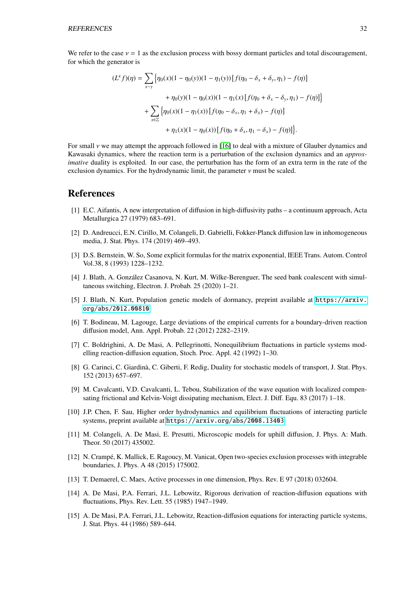We refer to the case  $v = 1$  as the exclusion process with bossy dormant particles and total discouragement. for which the generator is

$$
(L^{\epsilon}f)(\eta) = \sum_{x \sim y} \left\{ \eta_0(x)(1 - \eta_0(y))(1 - \eta_1(y)) \left[ f(\eta_0 - \delta_x + \delta_y, \eta_1) - f(\eta) \right] \right. \\ \left. + \eta_0(y)(1 - \eta_0(x))(1 - \eta_1(x)) \left[ f(\eta_0 + \delta_x - \delta_y, \eta_1) - f(\eta) \right] \right\} \\ \left. + \sum_{x \in \mathbb{Z}} \left\{ \eta_0(x)(1 - \eta_1(x)) \left[ f(\eta_0 - \delta_x, \eta_1 + \delta_x) - f(\eta) \right] \right. \\ \left. + \eta_1(x)(1 - \eta_0(x)) \left[ f(\eta_0 + \delta_x, \eta_1 - \delta_x) - f(\eta) \right] \right\} .
$$

For small  $\nu$  we may attempt the approach followed in [\[16\]](#page-33-7) to deal with a mixture of Glauber dynamics and Kawasaki dynamics, where the reaction term is a perturbation of the exclusion dynamics and an *approximative* duality is exploited. In our case, the perturbation has the form of an extra term in the rate of the exclusion dynamics. For the hydrodynamic limit, the parameter  $\nu$  must be scaled.

# References

- <span id="page-32-5"></span>[1] E.C. Aifantis, A new interpretation of diffusion in high-diffusivity paths – a continuum approach, Acta Metallurgica 27 (1979) 683–691.
- <span id="page-32-8"></span>[2] D. Andreucci, E.N. Cirillo, M. Colangeli, D. Gabrielli, Fokker-Planck diffusion law in inhomogeneous media, J. Stat. Phys. 174 (2019) 469–493.
- <span id="page-32-12"></span>[3] D.S. Bernstein, W. So, Some explicit formulas for the matrix exponential, IEEE Trans. Autom. Control Vol.38, 8 (1993) 1228–1232.
- [4] J. Blath, A. Gonzalez Casanova, N. Kurt, M. Wilke-Berenguer, The seed bank coalescent with simul- ´ taneous switching, Electron. J. Probab. 25 (2020) 1–21.
- <span id="page-32-7"></span>[5] J. Blath, N. Kurt, Population genetic models of dormancy, preprint available at [https://arxiv.](https://arxiv.org/abs/2012.00810) [org/abs/2012.00810](https://arxiv.org/abs/2012.00810).
- <span id="page-32-1"></span>[6] T. Bodineau, M. Lagouge, Large deviations of the empirical currents for a boundary-driven reaction diffusion model, Ann. Appl. Probab. 22 (2012) 2282–2319.
- <span id="page-32-2"></span>[7] C. Boldrighini, A. De Masi, A. Pellegrinotti, Nonequilibrium fluctuations in particle systems modelling reaction-diffusion equation, Stoch. Proc. Appl. 42 (1992) 1–30.
- <span id="page-32-0"></span>[8] G. Carinci, C. Giardina, C. Giberti, F. Redig, Duality for stochastic models of transport, J. Stat. Phys. ` 152 (2013) 657–697.
- <span id="page-32-11"></span>[9] M. Cavalcanti, V.D. Cavalcanti, L. Tebou, Stabilization of the wave equation with localized compensating frictional and Kelvin-Voigt dissipating mechanism, Elect. J. Diff. Equ. 83 (2017) 1–18.
- <span id="page-32-10"></span>[10] J.P. Chen, F. Sau, Higher order hydrodynamics and equilibrium fluctuations of interacting particle systems, preprint available at <https://arxiv.org/abs/2008.13403>.
- <span id="page-32-9"></span>[11] M. Colangeli, A. De Masi, E. Presutti, Microscopic models for uphill diffusion, J. Phys. A: Math. Theor. 50 (2017) 435002.
- [12] N. Crampe, K. Mallick, E. Ragoucy, M. Vanicat, Open two-species exclusion processes with integrable ´ boundaries, J. Phys. A 48 (2015) 175002.
- <span id="page-32-6"></span>[13] T. Demaerel, C. Maes, Active processes in one dimension, Phys. Rev. E 97 (2018) 032604.
- <span id="page-32-3"></span>[14] A. De Masi, P.A. Ferrari, J.L. Lebowitz, Rigorous derivation of reaction-diffusion equations with fluctuations, Phys. Rev. Lett. 55 (1985) 1947–1949.
- <span id="page-32-4"></span>[15] A. De Masi, P.A. Ferrari, J.L. Lebowitz, Reaction-diffusion equations for interacting particle systems, J. Stat. Phys. 44 (1986) 589–644.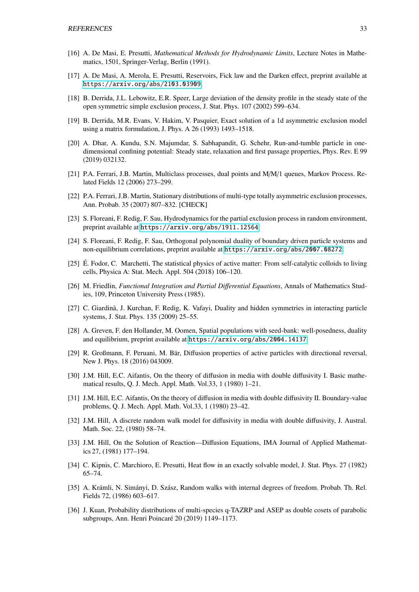- <span id="page-33-7"></span>[16] A. De Masi, E. Presutti, *Mathematical Methods for Hydrodynamic Limits*, Lecture Notes in Mathematics, 1501, Springer-Verlag, Berlin (1991).
- <span id="page-33-16"></span>[17] A. De Masi, A. Merola, E. Presutti, Reservoirs, Fick law and the Darken effect, preprint available at <https://arxiv.org/abs/2103.03909>.
- <span id="page-33-0"></span>[18] B. Derrida, J.L. Lebowitz, E.R. Speer, Large deviation of the density profile in the steady state of the open symmetric simple exclusion process, J. Stat. Phys. 107 (2002) 599–634.
- <span id="page-33-1"></span>[19] B. Derrida, M.R. Evans, V. Hakim, V. Pasquier, Exact solution of a 1d asymmetric exclusion model using a matrix formulation, J. Phys. A 26 (1993) 1493–1518.
- [20] A. Dhar, A. Kundu, S.N. Majumdar, S. Sabhapandit, G. Schehr, Run-and-tumble particle in onedimensional confining potential: Steady state, relaxation and first passage properties, Phys. Rev. E 99 (2019) 032132.
- <span id="page-33-4"></span>[21] P.A. Ferrari, J.B. Martin, Multiclass processes, dual points and M/M/1 queues, Markov Process. Related Fields 12 (2006) 273–299.
- <span id="page-33-5"></span>[22] P.A. Ferrari, J.B. Martin, Stationary distributions of multi-type totally asymmetric exclusion processes, Ann. Probab. 35 (2007) 807–832. [CHECK]
- <span id="page-33-17"></span>[23] S. Floreani, F. Redig, F. Sau, Hydrodynamics for the partial exclusion process in random environment, preprint available at <https://arxiv.org/abs/1911.12564>.
- <span id="page-33-19"></span>[24] S. Floreani, F. Redig, F. Sau, Orthogonal polynomial duality of boundary driven particle systems and non-equilibrium correlations, preprint available at <https://arxiv.org/abs/2007.08272>.
- <span id="page-33-12"></span>[25] E. Fodor, C. Marchetti, The statistical physics of active matter: From self-catalytic colloids to living ´ cells, Physica A: Stat. Mech. Appl. 504 (2018) 106–120.
- <span id="page-33-18"></span>[26] M. Friedlin, *Functional Integration and Partial Di*ff*erential Equations*, Annals of Mathematics Studies, 109, Princeton University Press (1985).
- <span id="page-33-2"></span>[27] C. Giardina, J. Kurchan, F. Redig, K. Vafayi, Duality and hidden symmetries in interacting particle ` systems, J. Stat. Phys. 135 (2009) 25–55.
- <span id="page-33-15"></span>[28] A. Greven, F. den Hollander, M. Oomen, Spatial populations with seed-bank: well-posedness, duality and equilibrium, preprint available at <https://arxiv.org/abs/2004.14137>.
- <span id="page-33-13"></span>[29] R. Großmann, F. Peruani, M. Bär, Diffusion properties of active particles with directional reversal, New J. Phys. 18 (2016) 043009.
- <span id="page-33-8"></span>[30] J.M. Hill, E.C. Aifantis, On the theory of diffusion in media with double diffusivity I. Basic mathematical results, Q. J. Mech. Appl. Math. Vol.33, 1 (1980) 1–21.
- <span id="page-33-9"></span>[31] J.M. Hill, E.C. Aifantis, On the theory of diffusion in media with double diffusivity II. Boundary-value problems, Q. J. Mech. Appl. Math. Vol.33, 1 (1980) 23–42.
- <span id="page-33-11"></span>[32] J.M. Hill, A discrete random walk model for diffusivity in media with double diffusivity, J. Austral. Math. Soc. 22, (1980) 58–74.
- <span id="page-33-10"></span>[33] J.M. Hill, On the Solution of Reaction—Diffusion Equations, IMA Journal of Applied Mathematics 27, (1981) 177–194.
- <span id="page-33-3"></span>[34] C. Kipnis, C. Marchioro, E. Presutti, Heat flow in an exactly solvable model, J. Stat. Phys. 27 (1982) 65–74.
- <span id="page-33-14"></span>[35] A. Krámli, N. Simányi, D. Szász, Random walks with internal degrees of freedom. Probab. Th. Rel. Fields 72, (1986) 603–617.
- <span id="page-33-6"></span>[36] J. Kuan, Probability distributions of multi-species q-TAZRP and ASEP as double cosets of parabolic subgroups, Ann. Henri Poincaré 20 (2019) 1149–1173.